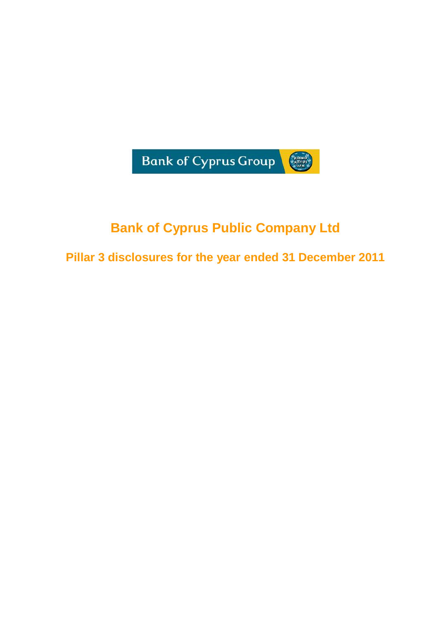

# **Bank of Cyprus Public Company Ltd**

**Pillar 3 disclosures for the year ended 31 December 2011**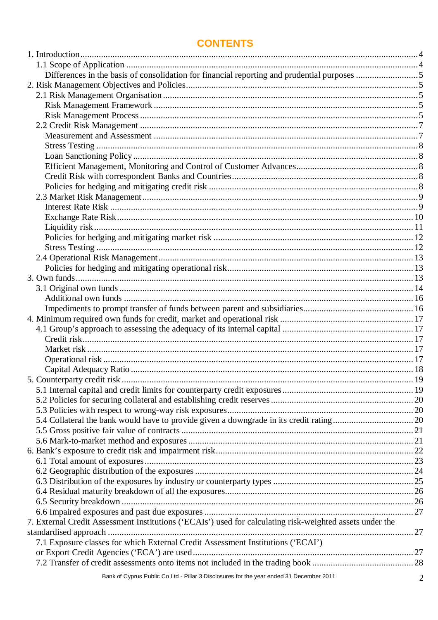# **CONTENTS**

| 7. External Credit Assessment Institutions ('ECAIs') used for calculating risk-weighted assets under the |  |
|----------------------------------------------------------------------------------------------------------|--|
|                                                                                                          |  |
| 7.1 Exposure classes for which External Credit Assessment Institutions ('ECAI')                          |  |
|                                                                                                          |  |
|                                                                                                          |  |
|                                                                                                          |  |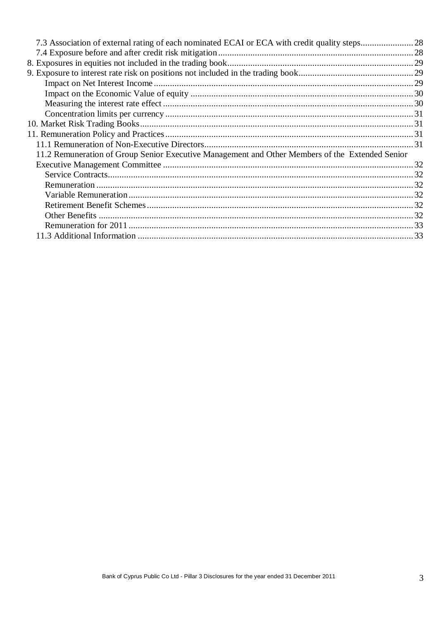| 11.2 Remuneration of Group Senior Executive Management and Other Members of the Extended Senior |  |
|-------------------------------------------------------------------------------------------------|--|
|                                                                                                 |  |
|                                                                                                 |  |
|                                                                                                 |  |
|                                                                                                 |  |
|                                                                                                 |  |
|                                                                                                 |  |
|                                                                                                 |  |
|                                                                                                 |  |
|                                                                                                 |  |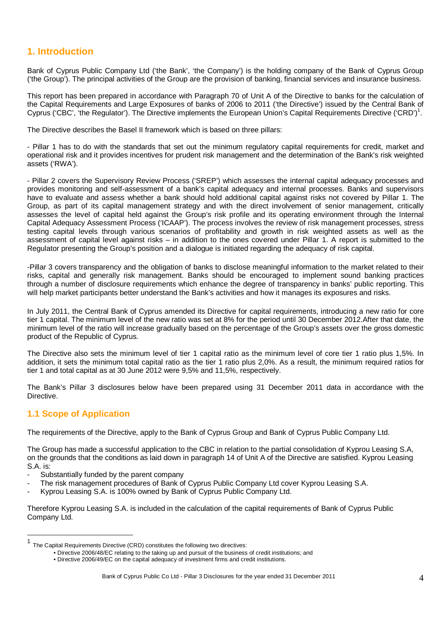# **1. Introduction**

Bank of Cyprus Public Company Ltd ('the Bank', 'the Company') is the holding company of the Bank of Cyprus Group ('the Group'). The principal activities of the Group are the provision of banking, financial services and insurance business.

This report has been prepared in accordance with Paragraph 70 of Unit A of the Directive to banks for the calculation of the Capital Requirements and Large Exposures of banks of 2006 to 2011 ('the Directive') issued by the Central Bank of Cyprus ('CBC', 'the Regulator'). The Directive implements the European Union's Capital Requirements Directive ('CRD')<sup>1</sup>.

The Directive describes the Basel II framework which is based on three pillars:

- Pillar 1 has to do with the standards that set out the minimum regulatory capital requirements for credit, market and operational risk and it provides incentives for prudent risk management and the determination of the Bank's risk weighted assets ('RWA').

- Pillar 2 covers the Supervisory Review Process ('SREP') which assesses the internal capital adequacy processes and provides monitoring and self-assessment of a bank's capital adequacy and internal processes. Banks and supervisors have to evaluate and assess whether a bank should hold additional capital against risks not covered by Pillar 1. The Group, as part of its capital management strategy and with the direct involvement of senior management, critically assesses the level of capital held against the Group's risk profile and its operating environment through the Internal Capital Adequacy Assessment Process ('ICAAP'). The process involves the review of risk management processes, stress testing capital levels through various scenarios of profitability and growth in risk weighted assets as well as the assessment of capital level against risks – in addition to the ones covered under Pillar 1. A report is submitted to the Regulator presenting the Group's position and a dialogue is initiated regarding the adequacy of risk capital.

-Pillar 3 covers transparency and the obligation of banks to disclose meaningful information to the market related to their risks, capital and generally risk management. Banks should be encouraged to implement sound banking practices through a number of disclosure requirements which enhance the degree of transparency in banks' public reporting. This will help market participants better understand the Bank's activities and how it manages its exposures and risks.

In July 2011, the Central Bank of Cyprus amended its Directive for capital requirements, introducing a new ratio for core tier 1 capital. The minimum level of the new ratio was set at 8% for the period until 30 December 2012.After that date, the minimum level of the ratio will increase gradually based on the percentage of the Group's assets over the gross domestic product of the Republic of Cyprus.

The Directive also sets the minimum level of tier 1 capital ratio as the minimum level of core tier 1 ratio plus 1,5%. In addition, it sets the minimum total capital ratio as the tier 1 ratio plus 2,0%. As a result, the minimum required ratios for tier 1 and total capital as at 30 June 2012 were 9,5% and 11,5%, respectively.

The Bank's Pillar 3 disclosures below have been prepared using 31 December 2011 data in accordance with the Directive.

# **1.1 Scope of Application**

 $\overline{a}$ 

The requirements of the Directive, apply to the Bank of Cyprus Group and Bank of Cyprus Public Company Ltd.

The Group has made a successful application to the CBC in relation to the partial consolidation of Kyprou Leasing S.A, on the grounds that the conditions as laid down in paragraph 14 of Unit A of the Directive are satisfied. Kyprou Leasing S.A. is:

- Substantially funded by the parent company
- The risk management procedures of Bank of Cyprus Public Company Ltd cover Kyprou Leasing S.A.
- Kyprou Leasing S.A. is 100% owned by Bank of Cyprus Public Company Ltd.

Therefore Kyprou Leasing S.A. is included in the calculation of the capital requirements of Bank of Cyprus Public Company Ltd.

<sup>1</sup> The Capital Requirements Directive (CRD) constitutes the following two directives:

<sup>•</sup> Directive 2006/48/EC relating to the taking up and pursuit of the business of credit institutions; and

<sup>•</sup> Directive 2006/49/EC on the capital adequacy of investment firms and credit institutions.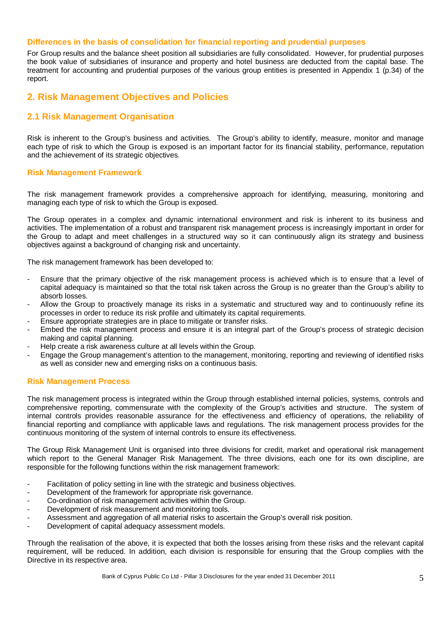#### **Differences in the basis of consolidation for financial reporting and prudential purposes**

For Group results and the balance sheet position all subsidiaries are fully consolidated. However, for prudential purposes the book value of subsidiaries of insurance and property and hotel business are deducted from the capital base. The treatment for accounting and prudential purposes of the various group entities is presented in Appendix 1 (p.34) of the report.

## **2. Risk Management Objectives and Policies**

## **2.1 Risk Management Organisation**

Risk is inherent to the Group's business and activities. The Group's ability to identify, measure, monitor and manage each type of risk to which the Group is exposed is an important factor for its financial stability, performance, reputation and the achievement of its strategic objectives.

#### **Risk Management Framework**

The risk management framework provides a comprehensive approach for identifying, measuring, monitoring and managing each type of risk to which the Group is exposed.

The Group operates in a complex and dynamic international environment and risk is inherent to its business and activities. The implementation of a robust and transparent risk management process is increasingly important in order for the Group to adapt and meet challenges in a structured way so it can continuously align its strategy and business objectives against a background of changing risk and uncertainty.

The risk management framework has been developed to:

- Ensure that the primary objective of the risk management process is achieved which is to ensure that a level of capital adequacy is maintained so that the total risk taken across the Group is no greater than the Group's ability to absorb losses.
- Allow the Group to proactively manage its risks in a systematic and structured way and to continuously refine its processes in order to reduce its risk profile and ultimately its capital requirements.
- Ensure appropriate strategies are in place to mitigate or transfer risks.
- Embed the risk management process and ensure it is an integral part of the Group's process of strategic decision making and capital planning.
- Help create a risk awareness culture at all levels within the Group.
- Engage the Group management's attention to the management, monitoring, reporting and reviewing of identified risks as well as consider new and emerging risks on a continuous basis.

#### **Risk Management Process**

The risk management process is integrated within the Group through established internal policies, systems, controls and comprehensive reporting, commensurate with the complexity of the Group's activities and structure. The system of internal controls provides reasonable assurance for the effectiveness and efficiency of operations, the reliability of financial reporting and compliance with applicable laws and regulations. The risk management process provides for the continuous monitoring of the system of internal controls to ensure its effectiveness.

The Group Risk Management Unit is organised into three divisions for credit, market and operational risk management which report to the General Manager Risk Management. The three divisions, each one for its own discipline, are responsible for the following functions within the risk management framework:

- Facilitation of policy setting in line with the strategic and business objectives.
- Development of the framework for appropriate risk governance.
- Co-ordination of risk management activities within the Group.
- Development of risk measurement and monitoring tools.
- Assessment and aggregation of all material risks to ascertain the Group's overall risk position.
- Development of capital adequacy assessment models.

Through the realisation of the above, it is expected that both the losses arising from these risks and the relevant capital requirement, will be reduced. In addition, each division is responsible for ensuring that the Group complies with the Directive in its respective area.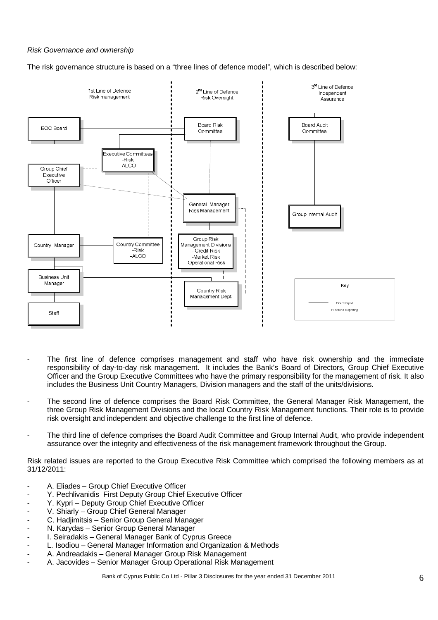#### Risk Governance and ownership

The risk governance structure is based on a "three lines of defence model", which is described below:



- The first line of defence comprises management and staff who have risk ownership and the immediate responsibility of day-to-day risk management. It includes the Bank's Board of Directors, Group Chief Executive Officer and the Group Executive Committees who have the primary responsibility for the management of risk. It also includes the Business Unit Country Managers, Division managers and the staff of the units/divisions.
- The second line of defence comprises the Board Risk Committee, the General Manager Risk Management, the three Group Risk Management Divisions and the local Country Risk Management functions. Their role is to provide risk oversight and independent and objective challenge to the first line of defence.
- The third line of defence comprises the Board Audit Committee and Group Internal Audit, who provide independent assurance over the integrity and effectiveness of the risk management framework throughout the Group.

Risk related issues are reported to the Group Executive Risk Committee which comprised the following members as at 31/12/2011:

- A. Eliades Group Chief Executive Officer
- Y. Pechlivanidis First Deputy Group Chief Executive Officer
- Y. Kypri Deputy Group Chief Executive Officer
- V. Shiarly Group Chief General Manager
- C. Hadjimitsis Senior Group General Manager
- N. Karydas Senior Group General Manager
- I. Seiradakis General Manager Bank of Cyprus Greece
- L. Isodiou General Manager Information and Organization & Methods
- A. Andreadakis General Manager Group Risk Management
- A. Jacovides Senior Manager Group Operational Risk Management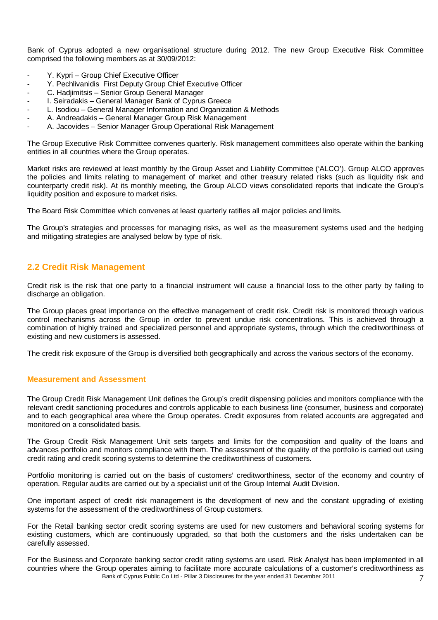Bank of Cyprus adopted a new organisational structure during 2012. The new Group Executive Risk Committee comprised the following members as at 30/09/2012:

- Y. Kypri Group Chief Executive Officer
- Y. Pechlivanidis First Deputy Group Chief Executive Officer
- C. Hadjimitsis Senior Group General Manager
- I. Seiradakis General Manager Bank of Cyprus Greece
- L. Isodiou General Manager Information and Organization & Methods
- A. Andreadakis General Manager Group Risk Management
- A. Jacovides Senior Manager Group Operational Risk Management

The Group Executive Risk Committee convenes quarterly. Risk management committees also operate within the banking entities in all countries where the Group operates.

Market risks are reviewed at least monthly by the Group Asset and Liability Committee ('ALCO'). Group ALCO approves the policies and limits relating to management of market and other treasury related risks (such as liquidity risk and counterparty credit risk). At its monthly meeting, the Group ALCO views consolidated reports that indicate the Group's liquidity position and exposure to market risks.

The Board Risk Committee which convenes at least quarterly ratifies all major policies and limits.

The Group's strategies and processes for managing risks, as well as the measurement systems used and the hedging and mitigating strategies are analysed below by type of risk.

## **2.2 Credit Risk Management**

Credit risk is the risk that one party to a financial instrument will cause a financial loss to the other party by failing to discharge an obligation.

The Group places great importance on the effective management of credit risk. Credit risk is monitored through various control mechanisms across the Group in order to prevent undue risk concentrations. This is achieved through a combination of highly trained and specialized personnel and appropriate systems, through which the creditworthiness of existing and new customers is assessed.

The credit risk exposure of the Group is diversified both geographically and across the various sectors of the economy.

#### **Measurement and Assessment**

The Group Credit Risk Management Unit defines the Group's credit dispensing policies and monitors compliance with the relevant credit sanctioning procedures and controls applicable to each business line (consumer, business and corporate) and to each geographical area where the Group operates. Credit exposures from related accounts are aggregated and monitored on a consolidated basis.

The Group Credit Risk Management Unit sets targets and limits for the composition and quality of the loans and advances portfolio and monitors compliance with them. The assessment of the quality of the portfolio is carried out using credit rating and credit scoring systems to determine the creditworthiness of customers.

Portfolio monitoring is carried out on the basis of customers' creditworthiness, sector of the economy and country of operation. Regular audits are carried out by a specialist unit of the Group Internal Audit Division.

One important aspect of credit risk management is the development of new and the constant upgrading of existing systems for the assessment of the creditworthiness of Group customers.

For the Retail banking sector credit scoring systems are used for new customers and behavioral scoring systems for existing customers, which are continuously upgraded, so that both the customers and the risks undertaken can be carefully assessed.

Bank of Cyprus Public Co Ltd - Pillar 3 Disclosures for the year ended 31 December 2011 7 For the Business and Corporate banking sector credit rating systems are used. Risk Analyst has been implemented in all countries where the Group operates aiming to facilitate more accurate calculations of a customer's creditworthiness as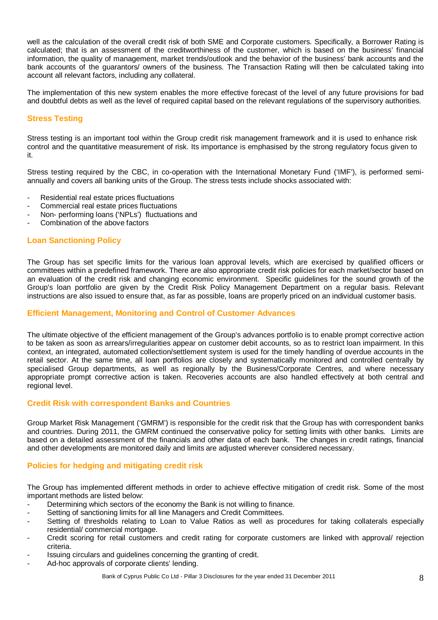well as the calculation of the overall credit risk of both SME and Corporate customers. Specifically, a Borrower Rating is calculated; that is an assessment of the creditworthiness of the customer, which is based on the business' financial information, the quality of management, market trends/outlook and the behavior of the business' bank accounts and the bank accounts of the guarantors/ owners of the business. The Transaction Rating will then be calculated taking into account all relevant factors, including any collateral.

The implementation of this new system enables the more effective forecast of the level of any future provisions for bad and doubtful debts as well as the level of required capital based on the relevant regulations of the supervisory authorities.

## **Stress Testing**

Stress testing is an important tool within the Group credit risk management framework and it is used to enhance risk control and the quantitative measurement of risk. Its importance is emphasised by the strong regulatory focus given to it.

Stress testing required by the CBC, in co-operation with the International Monetary Fund ('IMF'), is performed semiannually and covers all banking units of the Group. The stress tests include shocks associated with:

- Residential real estate prices fluctuations
- Commercial real estate prices fluctuations
- Non- performing loans ('NPLs') fluctuations and
- Combination of the above factors

## **Loan Sanctioning Policy**

The Group has set specific limits for the various loan approval levels, which are exercised by qualified officers or committees within a predefined framework. There are also appropriate credit risk policies for each market/sector based on an evaluation of the credit risk and changing economic environment. Specific guidelines for the sound growth of the Group's loan portfolio are given by the Credit Risk Policy Management Department on a regular basis. Relevant instructions are also issued to ensure that, as far as possible, loans are properly priced on an individual customer basis.

#### **Efficient Management, Monitoring and Control of Customer Advances**

The ultimate objective of the efficient management of the Group's advances portfolio is to enable prompt corrective action to be taken as soon as arrears/irregularities appear on customer debit accounts, so as to restrict loan impairment. In this context, an integrated, automated collection/settlement system is used for the timely handling of overdue accounts in the retail sector. At the same time, all loan portfolios are closely and systematically monitored and controlled centrally by specialised Group departments, as well as regionally by the Business/Corporate Centres, and where necessary appropriate prompt corrective action is taken. Recoveries accounts are also handled effectively at both central and regional level.

#### **Credit Risk with correspondent Banks and Countries**

Group Market Risk Management ('GMRM') is responsible for the credit risk that the Group has with correspondent banks and countries. During 2011, the GMRM continued the conservative policy for setting limits with other banks. Limits are based on a detailed assessment of the financials and other data of each bank. The changes in credit ratings, financial and other developments are monitored daily and limits are adjusted wherever considered necessary.

## **Policies for hedging and mitigating credit risk**

The Group has implemented different methods in order to achieve effective mitigation of credit risk. Some of the most important methods are listed below:

- Determining which sectors of the economy the Bank is not willing to finance.
- Setting of sanctioning limits for all line Managers and Credit Committees.
- Setting of thresholds relating to Loan to Value Ratios as well as procedures for taking collaterals especially residential/ commercial mortgage.
- Credit scoring for retail customers and credit rating for corporate customers are linked with approval/ rejection criteria.
- Issuing circulars and guidelines concerning the granting of credit.
- Ad-hoc approvals of corporate clients' lending.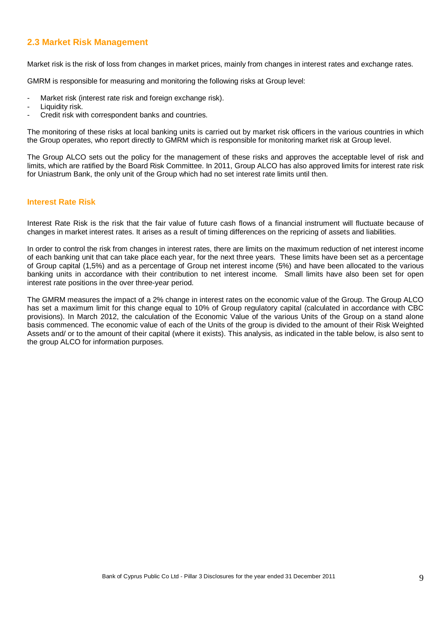## **2.3 Market Risk Management**

Market risk is the risk of loss from changes in market prices, mainly from changes in interest rates and exchange rates.

GMRM is responsible for measuring and monitoring the following risks at Group level:

- Market risk (interest rate risk and foreign exchange risk).
- Liquidity risk.
- Credit risk with correspondent banks and countries.

The monitoring of these risks at local banking units is carried out by market risk officers in the various countries in which the Group operates, who report directly to GMRM which is responsible for monitoring market risk at Group level.

The Group ALCO sets out the policy for the management of these risks and approves the acceptable level of risk and limits, which are ratified by the Board Risk Committee. In 2011, Group ALCO has also approved limits for interest rate risk for Uniastrum Bank, the only unit of the Group which had no set interest rate limits until then.

#### **Interest Rate Risk**

Interest Rate Risk is the risk that the fair value of future cash flows of a financial instrument will fluctuate because of changes in market interest rates. It arises as a result of timing differences on the repricing of assets and liabilities.

In order to control the risk from changes in interest rates, there are limits on the maximum reduction of net interest income of each banking unit that can take place each year, for the next three years. These limits have been set as a percentage of Group capital (1,5%) and as a percentage of Group net interest income (5%) and have been allocated to the various banking units in accordance with their contribution to net interest income. Small limits have also been set for open interest rate positions in the over three-year period.

The GMRM measures the impact of a 2% change in interest rates on the economic value of the Group. The Group ALCO has set a maximum limit for this change equal to 10% of Group regulatory capital (calculated in accordance with CBC provisions). In March 2012, the calculation of the Economic Value of the various Units of the Group on a stand alone basis commenced. The economic value of each of the Units of the group is divided to the amount of their Risk Weighted Assets and/ or to the amount of their capital (where it exists). This analysis, as indicated in the table below, is also sent to the group ALCO for information purposes.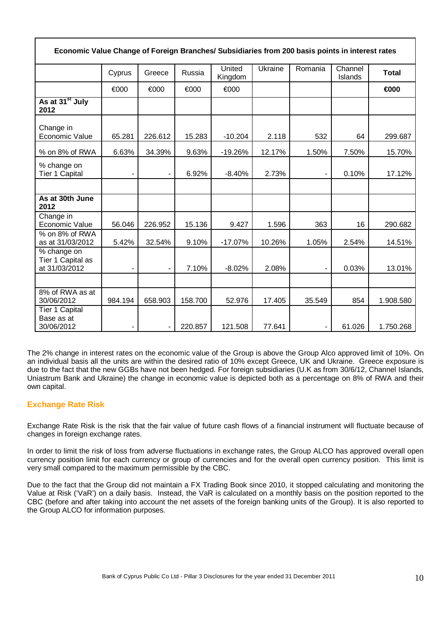| Economic Value Change of Foreign Branches/ Subsidiaries from 200 basis points in interest rates |                |                |         |                   |         |         |                    |              |
|-------------------------------------------------------------------------------------------------|----------------|----------------|---------|-------------------|---------|---------|--------------------|--------------|
|                                                                                                 | Cyprus         | Greece         | Russia  | United<br>Kingdom | Ukraine | Romania | Channel<br>Islands | <b>Total</b> |
|                                                                                                 | €000           | €000           | €000    | €000              |         |         |                    | €000         |
| As at 31 <sup>st</sup> July<br>2012                                                             |                |                |         |                   |         |         |                    |              |
| Change in<br>Economic Value                                                                     | 65.281         | 226.612        | 15.283  | $-10.204$         | 2.118   | 532     | 64                 | 299.687      |
| % on 8% of RWA                                                                                  | 6.63%          | 34.39%         | 9.63%   | $-19.26%$         | 12.17%  | 1.50%   | 7.50%              | 15.70%       |
| % change on<br><b>Tier 1 Capital</b>                                                            |                | ٠              | 6.92%   | $-8.40%$          | 2.73%   |         | 0.10%              | 17.12%       |
|                                                                                                 |                |                |         |                   |         |         |                    |              |
| As at 30th June<br>2012                                                                         |                |                |         |                   |         |         |                    |              |
| Change in<br>Economic Value                                                                     | 56.046         | 226.952        | 15.136  | 9.427             | 1.596   | 363     | 16                 | 290.682      |
| % on 8% of RWA<br>as at 31/03/2012                                                              | 5.42%          | 32.54%         | 9.10%   | $-17.07%$         | 10.26%  | 1.05%   | 2.54%              | 14.51%       |
| % change on<br>Tier 1 Capital as<br>at 31/03/2012                                               | $\blacksquare$ | $\blacksquare$ | 7.10%   | $-8.02%$          | 2.08%   |         | 0.03%              | 13.01%       |
|                                                                                                 |                |                |         |                   |         |         |                    |              |
| 8% of RWA as at<br>30/06/2012                                                                   | 984.194        | 658.903        | 158.700 | 52.976            | 17.405  | 35.549  | 854                | 1.908.580    |
| <b>Tier 1 Capital</b><br>Base as at<br>30/06/2012                                               |                | $\blacksquare$ | 220.857 | 121.508           | 77.641  |         | 61.026             | 1.750.268    |

The 2% change in interest rates on the economic value of the Group is above the Group Alco approved limit of 10%. On an individual basis all the units are within the desired ratio of 10% except Greece, UK and Ukraine. Greece exposure is due to the fact that the new GGBs have not been hedged. For foreign subsidiaries (U.K as from 30/6/12, Channel Islands, Uniastrum Bank and Ukraine) the change in economic value is depicted both as a percentage on 8% of RWA and their own capital.

## **Exchange Rate Risk**

Exchange Rate Risk is the risk that the fair value of future cash flows of a financial instrument will fluctuate because of changes in foreign exchange rates.

In order to limit the risk of loss from adverse fluctuations in exchange rates, the Group ALCO has approved overall open currency position limit for each currency or group of currencies and for the overall open currency position. This limit is very small compared to the maximum permissible by the CBC.

Due to the fact that the Group did not maintain a FX Trading Book since 2010, it stopped calculating and monitoring the Value at Risk ('VaR') on a daily basis. Instead, the VaR is calculated on a monthly basis on the position reported to the CBC (before and after taking into account the net assets of the foreign banking units of the Group). It is also reported to the Group ALCO for information purposes.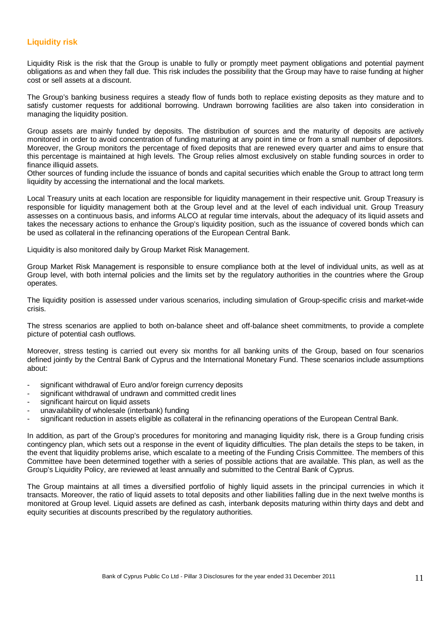#### **Liquidity risk**

Liquidity Risk is the risk that the Group is unable to fully or promptly meet payment obligations and potential payment obligations as and when they fall due. This risk includes the possibility that the Group may have to raise funding at higher cost or sell assets at a discount.

The Group's banking business requires a steady flow of funds both to replace existing deposits as they mature and to satisfy customer requests for additional borrowing. Undrawn borrowing facilities are also taken into consideration in managing the liquidity position.

Group assets are mainly funded by deposits. The distribution of sources and the maturity of deposits are actively monitored in order to avoid concentration of funding maturing at any point in time or from a small number of depositors. Moreover, the Group monitors the percentage of fixed deposits that are renewed every quarter and aims to ensure that this percentage is maintained at high levels. The Group relies almost exclusively on stable funding sources in order to finance illiquid assets.

Other sources of funding include the issuance of bonds and capital securities which enable the Group to attract long term liquidity by accessing the international and the local markets.

Local Treasury units at each location are responsible for liquidity management in their respective unit. Group Treasury is responsible for liquidity management both at the Group level and at the level of each individual unit. Group Treasury assesses on a continuous basis, and informs ALCO at regular time intervals, about the adequacy of its liquid assets and takes the necessary actions to enhance the Group's liquidity position, such as the issuance of covered bonds which can be used as collateral in the refinancing operations of the European Central Bank.

Liquidity is also monitored daily by Group Market Risk Management.

Group Market Risk Management is responsible to ensure compliance both at the level of individual units, as well as at Group level, with both internal policies and the limits set by the regulatory authorities in the countries where the Group operates.

The liquidity position is assessed under various scenarios, including simulation of Group-specific crisis and market-wide crisis.

The stress scenarios are applied to both on-balance sheet and off-balance sheet commitments, to provide a complete picture of potential cash outflows.

Moreover, stress testing is carried out every six months for all banking units of the Group, based on four scenarios defined jointly by the Central Bank of Cyprus and the International Monetary Fund. These scenarios include assumptions about:

- significant withdrawal of Euro and/or foreign currency deposits
- significant withdrawal of undrawn and committed credit lines
- significant haircut on liquid assets
- unavailability of wholesale (interbank) funding
- significant reduction in assets eligible as collateral in the refinancing operations of the European Central Bank.

In addition, as part of the Group's procedures for monitoring and managing liquidity risk, there is a Group funding crisis contingency plan, which sets out a response in the event of liquidity difficulties. The plan details the steps to be taken, in the event that liquidity problems arise, which escalate to a meeting of the Funding Crisis Committee. The members of this Committee have been determined together with a series of possible actions that are available. This plan, as well as the Group's Liquidity Policy, are reviewed at least annually and submitted to the Central Bank of Cyprus.

The Group maintains at all times a diversified portfolio of highly liquid assets in the principal currencies in which it transacts. Moreover, the ratio of liquid assets to total deposits and other liabilities falling due in the next twelve months is monitored at Group level. Liquid assets are defined as cash, interbank deposits maturing within thirty days and debt and equity securities at discounts prescribed by the regulatory authorities.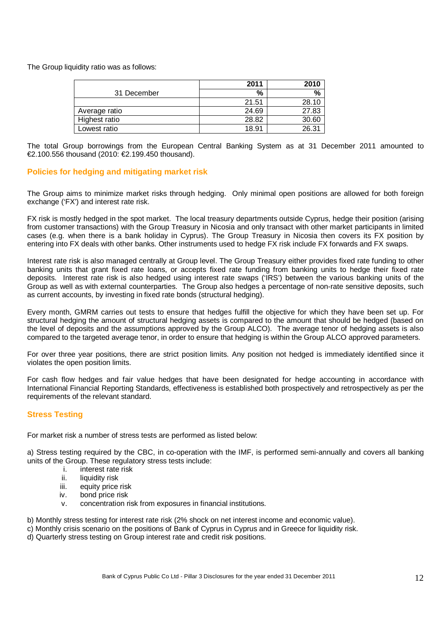The Group liquidity ratio was as follows:

|               | 2011  | 2010  |
|---------------|-------|-------|
| 31 December   | %     | %     |
|               | 21.51 | 28.10 |
| Average ratio | 24.69 | 27.83 |
| Highest ratio | 28.82 | 30.60 |
| Lowest ratio  | 18.91 | 26.31 |

The total Group borrowings from the European Central Banking System as at 31 December 2011 amounted to €2.100.556 thousand (2010: €2.199.450 thousand).

#### **Policies for hedging and mitigating market risk**

The Group aims to minimize market risks through hedging. Only minimal open positions are allowed for both foreign exchange ('FX') and interest rate risk.

FX risk is mostly hedged in the spot market. The local treasury departments outside Cyprus, hedge their position (arising from customer transactions) with the Group Treasury in Nicosia and only transact with other market participants in limited cases (e.g. when there is a bank holiday in Cyprus). The Group Treasury in Nicosia then covers its FX position by entering into FX deals with other banks. Other instruments used to hedge FX risk include FX forwards and FX swaps.

Interest rate risk is also managed centrally at Group level. The Group Treasury either provides fixed rate funding to other banking units that grant fixed rate loans, or accepts fixed rate funding from banking units to hedge their fixed rate deposits. Interest rate risk is also hedged using interest rate swaps ('IRS') between the various banking units of the Group as well as with external counterparties. The Group also hedges a percentage of non-rate sensitive deposits, such as current accounts, by investing in fixed rate bonds (structural hedging).

Every month, GMRM carries out tests to ensure that hedges fulfill the objective for which they have been set up. For structural hedging the amount of structural hedging assets is compared to the amount that should be hedged (based on the level of deposits and the assumptions approved by the Group ALCO). The average tenor of hedging assets is also compared to the targeted average tenor, in order to ensure that hedging is within the Group ALCO approved parameters.

For over three year positions, there are strict position limits. Any position not hedged is immediately identified since it violates the open position limits.

For cash flow hedges and fair value hedges that have been designated for hedge accounting in accordance with International Financial Reporting Standards, effectiveness is established both prospectively and retrospectively as per the requirements of the relevant standard.

## **Stress Testing**

For market risk a number of stress tests are performed as listed below:

a) Stress testing required by the CBC, in co-operation with the IMF, is performed semi-annually and covers all banking units of the Group. These regulatory stress tests include:

- i. interest rate risk
- ii. liquidity risk
- iii. equity price risk
- iv. bond price risk
- v. concentration risk from exposures in financial institutions.

b) Monthly stress testing for interest rate risk (2% shock on net interest income and economic value).

- c) Monthly crisis scenario on the positions of Bank of Cyprus in Cyprus and in Greece for liquidity risk.
- d) Quarterly stress testing on Group interest rate and credit risk positions.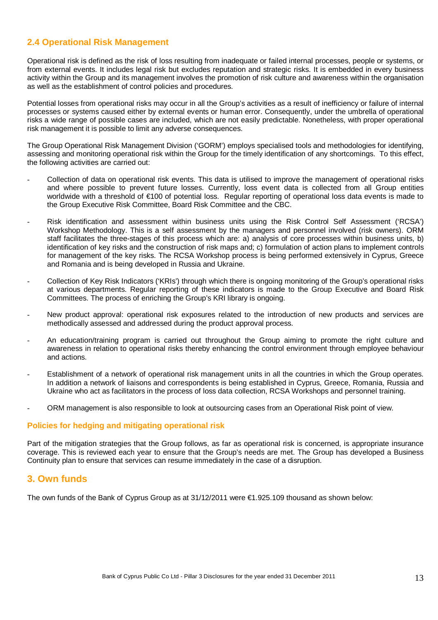## **2.4 Operational Risk Management**

Operational risk is defined as the risk of loss resulting from inadequate or failed internal processes, people or systems, or from external events. It includes legal risk but excludes reputation and strategic risks. It is embedded in every business activity within the Group and its management involves the promotion of risk culture and awareness within the organisation as well as the establishment of control policies and procedures.

Potential losses from operational risks may occur in all the Group's activities as a result of inefficiency or failure of internal processes or systems caused either by external events or human error. Consequently, under the umbrella of operational risks a wide range of possible cases are included, which are not easily predictable. Nonetheless, with proper operational risk management it is possible to limit any adverse consequences.

The Group Operational Risk Management Division ('GORM') employs specialised tools and methodologies for identifying, assessing and monitoring operational risk within the Group for the timely identification of any shortcomings. To this effect, the following activities are carried out:

- Collection of data on operational risk events. This data is utilised to improve the management of operational risks and where possible to prevent future losses. Currently, loss event data is collected from all Group entities worldwide with a threshold of €100 of potential loss. Regular reporting of operational loss data events is made to the Group Executive Risk Committee, Board Risk Committee and the CBC.
- Risk identification and assessment within business units using the Risk Control Self Assessment ('RCSA') Workshop Methodology. This is a self assessment by the managers and personnel involved (risk owners). ORM staff facilitates the three-stages of this process which are: a) analysis of core processes within business units, b) identification of key risks and the construction of risk maps and; c) formulation of action plans to implement controls for management of the key risks. The RCSA Workshop process is being performed extensively in Cyprus, Greece and Romania and is being developed in Russia and Ukraine.
- Collection of Key Risk Indicators ('KRIs') through which there is ongoing monitoring of the Group's operational risks at various departments. Regular reporting of these indicators is made to the Group Executive and Board Risk Committees. The process of enriching the Group's KRI library is ongoing.
- New product approval: operational risk exposures related to the introduction of new products and services are methodically assessed and addressed during the product approval process.
- An education/training program is carried out throughout the Group aiming to promote the right culture and awareness in relation to operational risks thereby enhancing the control environment through employee behaviour and actions.
- Establishment of a network of operational risk management units in all the countries in which the Group operates. In addition a network of liaisons and correspondents is being established in Cyprus, Greece, Romania, Russia and Ukraine who act as facilitators in the process of loss data collection, RCSA Workshops and personnel training.
- ORM management is also responsible to look at outsourcing cases from an Operational Risk point of view.

#### **Policies for hedging and mitigating operational risk**

Part of the mitigation strategies that the Group follows, as far as operational risk is concerned, is appropriate insurance coverage. This is reviewed each year to ensure that the Group's needs are met. The Group has developed a Business Continuity plan to ensure that services can resume immediately in the case of a disruption.

## **3. Own funds**

The own funds of the Bank of Cyprus Group as at 31/12/2011 were €1.925.109 thousand as shown below: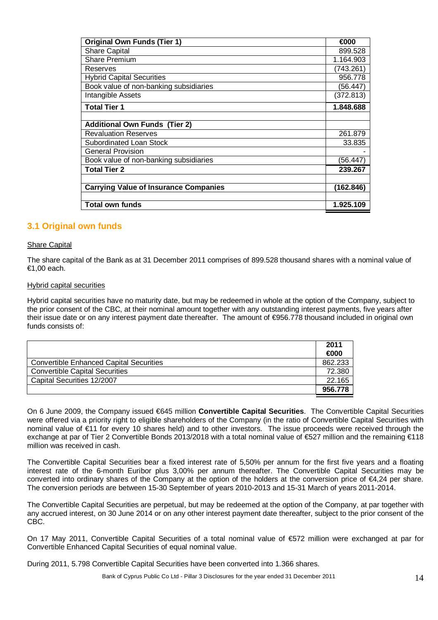| <b>Original Own Funds (Tier 1)</b>           | €000      |
|----------------------------------------------|-----------|
| <b>Share Capital</b>                         | 899.528   |
| <b>Share Premium</b>                         | 1.164.903 |
| Reserves                                     | (743.261) |
| <b>Hybrid Capital Securities</b>             | 956.778   |
| Book value of non-banking subsidiaries       | (56.447)  |
| Intangible Assets                            | (372.813) |
| <b>Total Tier 1</b>                          | 1.848.688 |
|                                              |           |
| <b>Additional Own Funds (Tier 2)</b>         |           |
| <b>Revaluation Reserves</b>                  | 261.879   |
| Subordinated Loan Stock                      | 33.835    |
| <b>General Provision</b>                     |           |
| Book value of non-banking subsidiaries       | (56.447)  |
| <b>Total Tier 2</b>                          | 239.267   |
|                                              |           |
| <b>Carrying Value of Insurance Companies</b> | (162.846) |
|                                              |           |
| Total own funds                              | 1.925.109 |

## **3.1 Original own funds**

#### Share Capital

The share capital of the Bank as at 31 December 2011 comprises of 899.528 thousand shares with a nominal value of €1,00 each.

#### Hybrid capital securities

Hybrid capital securities have no maturity date, but may be redeemed in whole at the option of the Company, subject to the prior consent of the CBC, at their nominal amount together with any outstanding interest payments, five years after their issue date or on any interest payment date thereafter. The amount of €956.778 thousand included in original own funds consists of:

|                                                | 2011    |
|------------------------------------------------|---------|
|                                                | €000    |
| <b>Convertible Enhanced Capital Securities</b> | 862.233 |
| <b>Convertible Capital Securities</b>          | 72.380  |
| Capital Securities 12/2007                     | 22.165  |
|                                                | 956.778 |

On 6 June 2009, the Company issued €645 million **Convertible Capital Securities**. The Convertible Capital Securities were offered via a priority right to eligible shareholders of the Company (in the ratio of Convertible Capital Securities with nominal value of €11 for every 10 shares held) and to other investors. The issue proceeds were received through the exchange at par of Tier 2 Convertible Bonds 2013/2018 with a total nominal value of €527 million and the remaining €118 million was received in cash.

The Convertible Capital Securities bear a fixed interest rate of 5,50% per annum for the first five years and a floating interest rate of the 6-month Euribor plus 3,00% per annum thereafter. The Convertible Capital Securities may be converted into ordinary shares of the Company at the option of the holders at the conversion price of €4,24 per share. The conversion periods are between 15-30 September of years 2010-2013 and 15-31 March of years 2011-2014.

The Convertible Capital Securities are perpetual, but may be redeemed at the option of the Company, at par together with any accrued interest, on 30 June 2014 or on any other interest payment date thereafter, subject to the prior consent of the CBC.

On 17 May 2011, Convertible Capital Securities of a total nominal value of €572 million were exchanged at par for Convertible Enhanced Capital Securities of equal nominal value.

During 2011, 5.798 Convertible Capital Securities have been converted into 1.366 shares.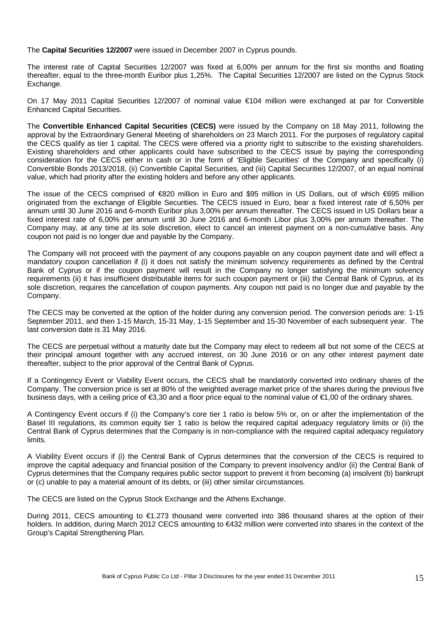The **Capital Securities 12/2007** were issued in December 2007 in Cyprus pounds.

The interest rate of Capital Securities 12/2007 was fixed at 6,00% per annum for the first six months and floating thereafter, equal to the three-month Euribor plus 1,25%. The Capital Securities 12/2007 are listed on the Cyprus Stock Exchange.

On 17 May 2011 Capital Securities 12/2007 of nominal value €104 million were exchanged at par for Convertible Enhanced Capital Securities.

The **Convertible Enhanced Capital Securities (CECS)** were issued by the Company on 18 May 2011, following the approval by the Extraordinary General Meeting of shareholders on 23 March 2011. For the purposes of regulatory capital the CECS qualify as tier 1 capital. The CECS were offered via a priority right to subscribe to the existing shareholders. Existing shareholders and other applicants could have subscribed to the CECS issue by paying the corresponding consideration for the CECS either in cash or in the form of 'Eligible Securities' of the Company and specifically (i) Convertible Bonds 2013/2018, (ii) Convertible Capital Securities, and (iii) Capital Securities 12/2007, of an equal nominal value, which had priority after the existing holders and before any other applicants.

The issue of the CECS comprised of €820 million in Euro and \$95 million in US Dollars, out of which €695 million originated from the exchange of Eligible Securities. The CECS issued in Euro, bear a fixed interest rate of 6,50% per annum until 30 June 2016 and 6-month Euribor plus 3,00% per annum thereafter. The CECS issued in US Dollars bear a fixed interest rate of 6,00% per annum until 30 June 2016 and 6-month Libor plus 3,00% per annum thereafter. The Company may, at any time at its sole discretion, elect to cancel an interest payment on a non-cumulative basis. Any coupon not paid is no longer due and payable by the Company.

The Company will not proceed with the payment of any coupons payable on any coupon payment date and will effect a mandatory coupon cancellation if (i) it does not satisfy the minimum solvency requirements as defined by the Central Bank of Cyprus or if the coupon payment will result in the Company no longer satisfying the minimum solvency requirements (ii) it has insufficient distributable items for such coupon payment or (iii) the Central Bank of Cyprus, at its sole discretion, requires the cancellation of coupon payments. Any coupon not paid is no longer due and payable by the Company.

The CECS may be converted at the option of the holder during any conversion period. The conversion periods are: 1-15 September 2011, and then 1-15 March, 15-31 May, 1-15 September and 15-30 November of each subsequent year. The last conversion date is 31 May 2016.

The CECS are perpetual without a maturity date but the Company may elect to redeem all but not some of the CECS at their principal amount together with any accrued interest, on 30 June 2016 or on any other interest payment date thereafter, subject to the prior approval of the Central Bank of Cyprus.

If a Contingency Event or Viability Event occurs, the CECS shall be mandatorily converted into ordinary shares of the Company. The conversion price is set at 80% of the weighted average market price of the shares during the previous five business days, with a ceiling price of  $\epsilon$ 3,30 and a floor price equal to the nominal value of  $\epsilon$ 1,00 of the ordinary shares.

A Contingency Event occurs if (i) the Company's core tier 1 ratio is below 5% or, on or after the implementation of the Basel III regulations, its common equity tier 1 ratio is below the required capital adequacy regulatory limits or (ii) the Central Bank of Cyprus determines that the Company is in non-compliance with the required capital adequacy regulatory limits.

A Viability Event occurs if (i) the Central Bank of Cyprus determines that the conversion of the CECS is required to improve the capital adequacy and financial position of the Company to prevent insolvency and/or (ii) the Central Bank of Cyprus determines that the Company requires public sector support to prevent it from becoming (a) insolvent (b) bankrupt or (c) unable to pay a material amount of its debts, or (iii) other similar circumstances.

The CECS are listed on the Cyprus Stock Exchange and the Athens Exchange.

During 2011, CECS amounting to €1.273 thousand were converted into 386 thousand shares at the option of their holders. In addition, during March 2012 CECS amounting to €432 million were converted into shares in the context of the Group's Capital Strengthening Plan.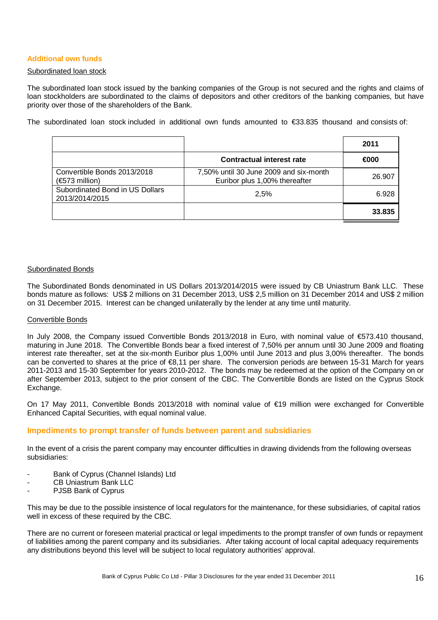#### **Additional own funds**

#### Subordinated loan stock

The subordinated loan stock issued by the banking companies of the Group is not secured and the rights and claims of loan stockholders are subordinated to the claims of depositors and other creditors of the banking companies, but have priority over those of the shareholders of the Bank.

The subordinated loan stock included in additional own funds amounted to €33.835 thousand and consists of:

|                                                   |                                                                         | 2011   |
|---------------------------------------------------|-------------------------------------------------------------------------|--------|
|                                                   | <b>Contractual interest rate</b>                                        | €000   |
| Convertible Bonds 2013/2018<br>$(6573$ million)   | 7,50% until 30 June 2009 and six-month<br>Euribor plus 1,00% thereafter | 26.907 |
| Subordinated Bond in US Dollars<br>2013/2014/2015 | 2.5%                                                                    | 6.928  |
|                                                   |                                                                         | 33.835 |

#### Subordinated Bonds

The Subordinated Bonds denominated in US Dollars 2013/2014/2015 were issued by CB Uniastrum Bank LLC. These bonds mature as follows: US\$ 2 millions on 31 December 2013, US\$ 2,5 million on 31 December 2014 and US\$ 2 million on 31 December 2015. Interest can be changed unilaterally by the lender at any time until maturity.

#### Convertible Bonds

In July 2008, the Company issued Convertible Bonds 2013/2018 in Euro, with nominal value of €573.410 thousand, maturing in June 2018. The Convertible Bonds bear a fixed interest of 7,50% per annum until 30 June 2009 and floating interest rate thereafter, set at the six-month Euribor plus 1,00% until June 2013 and plus 3,00% thereafter. The bonds can be converted to shares at the price of  $\epsilon$ 8,11 per share. The conversion periods are between 15-31 March for years 2011-2013 and 15-30 September for years 2010-2012. The bonds may be redeemed at the option of the Company on or after September 2013, subject to the prior consent of the CBC. The Convertible Bonds are listed on the Cyprus Stock Exchange.

On 17 May 2011, Convertible Bonds 2013/2018 with nominal value of €19 million were exchanged for Convertible Enhanced Capital Securities, with equal nominal value.

#### **Impediments to prompt transfer of funds between parent and subsidiaries**

In the event of a crisis the parent company may encounter difficulties in drawing dividends from the following overseas subsidiaries:

- Bank of Cyprus (Channel Islands) Ltd
- CB Uniastrum Bank LLC
- PJSB Bank of Cyprus

This may be due to the possible insistence of local regulators for the maintenance, for these subsidiaries, of capital ratios well in excess of these required by the CBC.

There are no current or foreseen material practical or legal impediments to the prompt transfer of own funds or repayment of liabilities among the parent company and its subsidiaries. After taking account of local capital adequacy requirements any distributions beyond this level will be subject to local regulatory authorities' approval.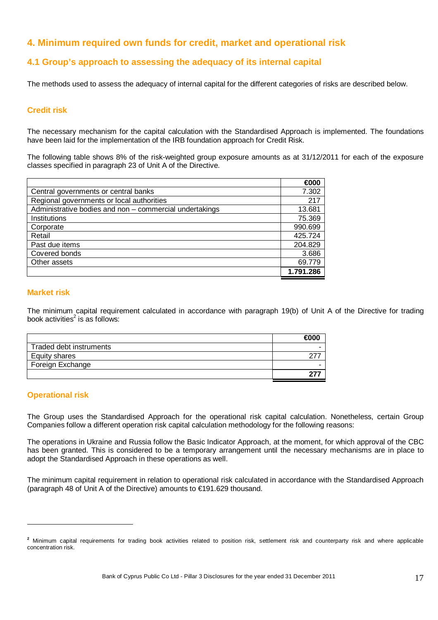# **4. Minimum required own funds for credit, market and operational risk**

## **4.1 Group's approach to assessing the adequacy of its internal capital**

The methods used to assess the adequacy of internal capital for the different categories of risks are described below.

#### **Credit risk**

The necessary mechanism for the capital calculation with the Standardised Approach is implemented. The foundations have been laid for the implementation of the IRB foundation approach for Credit Risk.

The following table shows 8% of the risk-weighted group exposure amounts as at 31/12/2011 for each of the exposure classes specified in paragraph 23 of Unit A of the Directive.

|                                                         | €000      |
|---------------------------------------------------------|-----------|
| Central governments or central banks                    | 7.302     |
| Regional governments or local authorities               | 217       |
| Administrative bodies and non - commercial undertakings | 13.681    |
| Institutions                                            | 75.369    |
| Corporate                                               | 990.699   |
| Retail                                                  | 425.724   |
| Past due items                                          | 204.829   |
| Covered bonds                                           | 3.686     |
| Other assets                                            | 69.779    |
|                                                         | 1.791.286 |

#### **Market risk**

The minimum capital requirement calculated in accordance with paragraph 19(b) of Unit A of the Directive for trading book activities $^2$  is as follows:

| Traded debt instruments |  |
|-------------------------|--|
| Equity shares           |  |
| Foreign Exchange        |  |
|                         |  |

## **Operational risk**

 $\overline{a}$ 

The Group uses the Standardised Approach for the operational risk capital calculation. Nonetheless, certain Group Companies follow a different operation risk capital calculation methodology for the following reasons:

The operations in Ukraine and Russia follow the Basic Indicator Approach, at the moment, for which approval of the CBC has been granted. This is considered to be a temporary arrangement until the necessary mechanisms are in place to adopt the Standardised Approach in these operations as well.

The minimum capital requirement in relation to operational risk calculated in accordance with the Standardised Approach (paragraph 48 of Unit A of the Directive) amounts to €191.629 thousand.

<sup>&</sup>lt;sup>2</sup> Minimum capital requirements for trading book activities related to position risk, settlement risk and counterparty risk and where applicable concentration risk.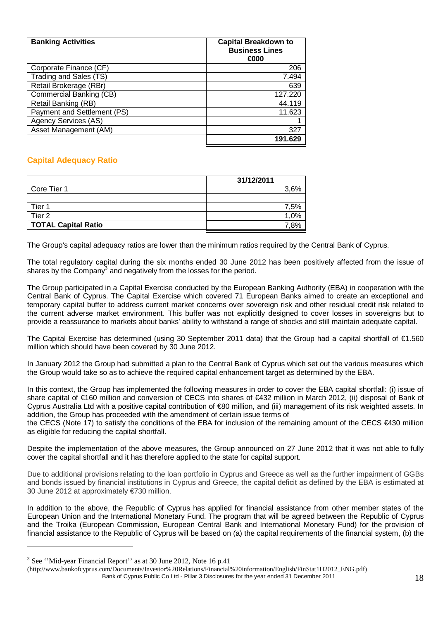| <b>Banking Activities</b>   | <b>Capital Breakdown to</b><br><b>Business Lines</b><br>€000 |
|-----------------------------|--------------------------------------------------------------|
| Corporate Finance (CF)      | 206                                                          |
| Trading and Sales (TS)      | 7.494                                                        |
| Retail Brokerage (RBr)      | 639                                                          |
| Commercial Banking (CB)     | 127.220                                                      |
| Retail Banking (RB)         | 44.119                                                       |
| Payment and Settlement (PS) | 11.623                                                       |
| <b>Agency Services (AS)</b> |                                                              |
| Asset Management (AM)       | 327                                                          |
|                             |                                                              |

## **Capital Adequacy Ratio**

|                            | 31/12/2011 |
|----------------------------|------------|
| Core Tier 1                | 3.6%       |
|                            |            |
| Tier 1                     | 7.5%       |
| Tier <sub>2</sub>          | 1,0%       |
| <b>TOTAL Capital Ratio</b> | 7 8%       |

The Group's capital adequacy ratios are lower than the minimum ratios required by the Central Bank of Cyprus.

The total regulatory capital during the six months ended 30 June 2012 has been positively affected from the issue of shares by the Company<sup>3</sup> and negatively from the losses for the period.

The Group participated in a Capital Exercise conducted by the European Banking Authority (EBA) in cooperation with the Central Bank of Cyprus. The Capital Exercise which covered 71 European Banks aimed to create an exceptional and temporary capital buffer to address current market concerns over sovereign risk and other residual credit risk related to the current adverse market environment. This buffer was not explicitly designed to cover losses in sovereigns but to provide a reassurance to markets about banks' ability to withstand a range of shocks and still maintain adequate capital.

The Capital Exercise has determined (using 30 September 2011 data) that the Group had a capital shortfall of €1.560 million which should have been covered by 30 June 2012.

In January 2012 the Group had submitted a plan to the Central Bank of Cyprus which set out the various measures which the Group would take so as to achieve the required capital enhancement target as determined by the EBA.

In this context, the Group has implemented the following measures in order to cover the EBA capital shortfall: (i) issue of share capital of €160 million and conversion of CECS into shares of €432 million in March 2012, (ii) disposal of Bank of Cyprus Australia Ltd with a positive capital contribution of €80 million, and (iii) management of its risk weighted assets. In addition, the Group has proceeded with the amendment of certain issue terms of

the CECS (Note 17) to satisfy the conditions of the EBA for inclusion of the remaining amount of the CECS €430 million as eligible for reducing the capital shortfall.

Despite the implementation of the above measures, the Group announced on 27 June 2012 that it was not able to fully cover the capital shortfall and it has therefore applied to the state for capital support.

Due to additional provisions relating to the loan portfolio in Cyprus and Greece as well as the further impairment of GGBs and bonds issued by financial institutions in Cyprus and Greece, the capital deficit as defined by the EBA is estimated at 30 June 2012 at approximately €730 million.

In addition to the above, the Republic of Cyprus has applied for financial assistance from other member states of the European Union and the International Monetary Fund. The program that will be agreed between the Republic of Cyprus and the Troika (European Commission, European Central Bank and International Monetary Fund) for the provision of financial assistance to the Republic of Cyprus will be based on (a) the capital requirements of the financial system, (b) the

 $\overline{a}$ 

 $3$  See "Mid-year Financial Report" as at 30 June 2012, Note 16 p.41

Bank of Cyprus Public Co Ltd - Pillar 3 Disclosures for the year ended 31 December 2011 18 (http://www.bankofcyprus.com/Documents/Investor%20Relations/Financial%20information/English/FinStat1H2012\_ENG.pdf)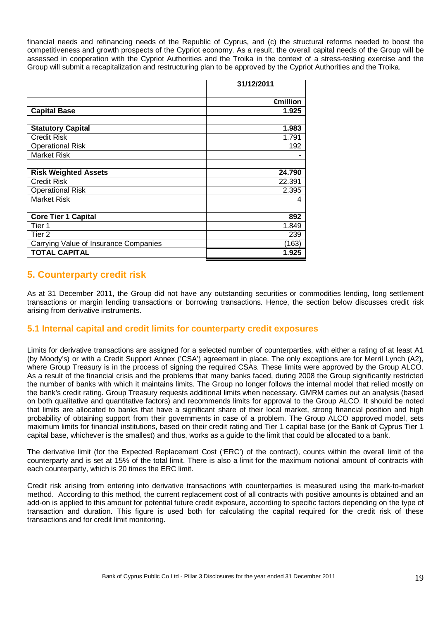financial needs and refinancing needs of the Republic of Cyprus, and (c) the structural reforms needed to boost the competitiveness and growth prospects of the Cypriot economy. As a result, the overall capital needs of the Group will be assessed in cooperation with the Cypriot Authorities and the Troika in the context of a stress-testing exercise and the Group will submit a recapitalization and restructuring plan to be approved by the Cypriot Authorities and the Troika.

|                                       | 31/12/2011 |
|---------------------------------------|------------|
|                                       |            |
|                                       | €million   |
| <b>Capital Base</b>                   | 1.925      |
|                                       |            |
| <b>Statutory Capital</b>              | 1.983      |
| <b>Credit Risk</b>                    | 1.791      |
| <b>Operational Risk</b>               | 192        |
| <b>Market Risk</b>                    |            |
|                                       |            |
| <b>Risk Weighted Assets</b>           | 24.790     |
| <b>Credit Risk</b>                    | 22.391     |
| <b>Operational Risk</b>               | 2.395      |
| <b>Market Risk</b>                    | 4          |
|                                       |            |
| <b>Core Tier 1 Capital</b>            | 892        |
| Tier 1                                | 1.849      |
| Tier <sub>2</sub>                     | 239        |
| Carrying Value of Insurance Companies | (163)      |
| <b>TOTAL CAPITAL</b>                  | 1.925      |

# **5. Counterparty credit risk**

As at 31 December 2011, the Group did not have any outstanding securities or commodities lending, long settlement transactions or margin lending transactions or borrowing transactions. Hence, the section below discusses credit risk arising from derivative instruments.

## **5.1 Internal capital and credit limits for counterparty credit exposures**

Limits for derivative transactions are assigned for a selected number of counterparties, with either a rating of at least A1 (by Moody's) or with a Credit Support Annex ('CSA') agreement in place. The only exceptions are for Merril Lynch (A2), where Group Treasury is in the process of signing the required CSAs. These limits were approved by the Group ALCO. As a result of the financial crisis and the problems that many banks faced, during 2008 the Group significantly restricted the number of banks with which it maintains limits. The Group no longer follows the internal model that relied mostly on the bank's credit rating. Group Treasury requests additional limits when necessary. GMRM carries out an analysis (based on both qualitative and quantitative factors) and recommends limits for approval to the Group ALCO. It should be noted that limits are allocated to banks that have a significant share of their local market, strong financial position and high probability of obtaining support from their governments in case of a problem. The Group ALCO approved model, sets maximum limits for financial institutions, based on their credit rating and Tier 1 capital base (or the Bank of Cyprus Tier 1 capital base, whichever is the smallest) and thus, works as a guide to the limit that could be allocated to a bank.

The derivative limit (for the Expected Replacement Cost ('ERC') of the contract), counts within the overall limit of the counterparty and is set at 15% of the total limit. There is also a limit for the maximum notional amount of contracts with each counterparty, which is 20 times the ERC limit.

Credit risk arising from entering into derivative transactions with counterparties is measured using the mark-to-market method. According to this method, the current replacement cost of all contracts with positive amounts is obtained and an add-on is applied to this amount for potential future credit exposure, according to specific factors depending on the type of transaction and duration. This figure is used both for calculating the capital required for the credit risk of these transactions and for credit limit monitoring.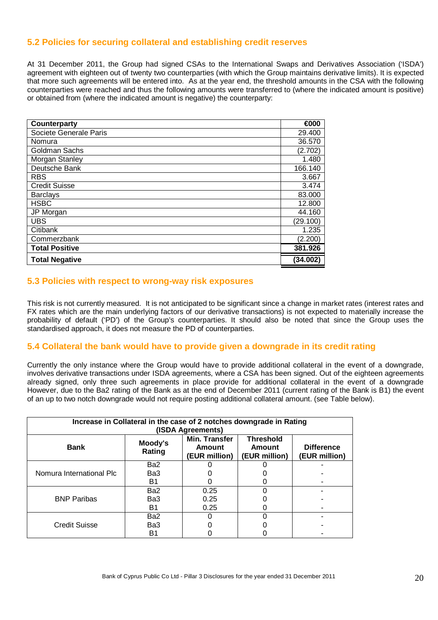## **5.2 Policies for securing collateral and establishing credit reserves**

At 31 December 2011, the Group had signed CSAs to the International Swaps and Derivatives Association ('ISDA') agreement with eighteen out of twenty two counterparties (with which the Group maintains derivative limits). It is expected that more such agreements will be entered into. As at the year end, the threshold amounts in the CSA with the following counterparties were reached and thus the following amounts were transferred to (where the indicated amount is positive) or obtained from (where the indicated amount is negative) the counterparty:

| <b>Counterparty</b>    | €000     |
|------------------------|----------|
| Societe Generale Paris | 29.400   |
| Nomura                 | 36.570   |
| Goldman Sachs          | (2.702)  |
| Morgan Stanley         | 1.480    |
| Deutsche Bank          | 166.140  |
| <b>RBS</b>             | 3.667    |
| <b>Credit Suisse</b>   | 3.474    |
| <b>Barclays</b>        | 83.000   |
| <b>HSBC</b>            | 12.800   |
| JP Morgan              | 44.160   |
| <b>UBS</b>             | (29.100) |
| Citibank               | 1.235    |
| Commerzbank            | (2.200)  |
| <b>Total Positive</b>  | 381.926  |
| <b>Total Negative</b>  | (34.002) |

#### **5.3 Policies with respect to wrong-way risk exposures**

This risk is not currently measured. It is not anticipated to be significant since a change in market rates (interest rates and FX rates which are the main underlying factors of our derivative transactions) is not expected to materially increase the probability of default ('PD') of the Group's counterparties. It should also be noted that since the Group uses the standardised approach, it does not measure the PD of counterparties.

#### **5.4 Collateral the bank would have to provide given a downgrade in its credit rating**

Currently the only instance where the Group would have to provide additional collateral in the event of a downgrade, involves derivative transactions under ISDA agreements, where a CSA has been signed. Out of the eighteen agreements already signed, only three such agreements in place provide for additional collateral in the event of a downgrade However, due to the Ba2 rating of the Bank as at the end of December 2011 (current rating of the Bank is B1) the event of an up to two notch downgrade would not require posting additional collateral amount. (see Table below).

| Increase in Collateral in the case of 2 notches downgrade in Rating<br>(ISDA Agreements) |                   |                                                 |                                             |                                    |  |  |  |
|------------------------------------------------------------------------------------------|-------------------|-------------------------------------------------|---------------------------------------------|------------------------------------|--|--|--|
| <b>Bank</b>                                                                              | Moody's<br>Rating | Min. Transfer<br><b>Amount</b><br>(EUR million) | <b>Threshold</b><br>Amount<br>(EUR million) | <b>Difference</b><br>(EUR million) |  |  |  |
|                                                                                          | Ba2               |                                                 |                                             |                                    |  |  |  |
| Nomura International Plc                                                                 | Ba3               |                                                 |                                             |                                    |  |  |  |
|                                                                                          | B1                |                                                 |                                             |                                    |  |  |  |
|                                                                                          | Ba2               | 0.25                                            |                                             |                                    |  |  |  |
| <b>BNP Paribas</b>                                                                       | Ba3               | 0.25                                            |                                             |                                    |  |  |  |
|                                                                                          | B1                | 0.25                                            |                                             |                                    |  |  |  |
|                                                                                          | Ba <sub>2</sub>   |                                                 |                                             |                                    |  |  |  |
| <b>Credit Suisse</b>                                                                     | Ba3               |                                                 |                                             |                                    |  |  |  |
|                                                                                          | Β1                |                                                 |                                             |                                    |  |  |  |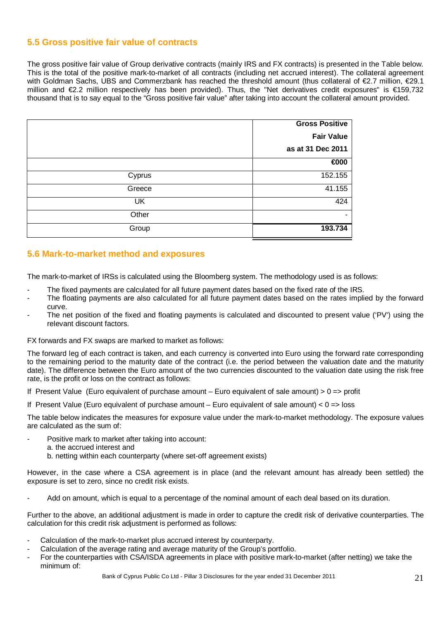## **5.5 Gross positive fair value of contracts**

The gross positive fair value of Group derivative contracts (mainly IRS and FX contracts) is presented in the Table below. This is the total of the positive mark-to-market of all contracts (including net accrued interest). The collateral agreement with Goldman Sachs, UBS and Commerzbank has reached the threshold amount (thus collateral of €2.7 million, €29.1 million and €2.2 million respectively has been provided). Thus, the "Net derivatives credit exposures" is €159,732 thousand that is to say equal to the "Gross positive fair value" after taking into account the collateral amount provided.

|        | <b>Gross Positive</b> |
|--------|-----------------------|
|        | <b>Fair Value</b>     |
|        | as at 31 Dec 2011     |
|        | €000                  |
| Cyprus | 152.155               |
| Greece | 41.155                |
| UK     | 424                   |
| Other  |                       |
| Group  | 193.734               |

## **5.6 Mark-to-market method and exposures**

The mark-to-market of IRSs is calculated using the Bloomberg system. The methodology used is as follows:

- The fixed payments are calculated for all future payment dates based on the fixed rate of the IRS.
- The floating payments are also calculated for all future payment dates based on the rates implied by the forward curve.
- The net position of the fixed and floating payments is calculated and discounted to present value ('PV') using the relevant discount factors.

FX forwards and FX swaps are marked to market as follows:

The forward leg of each contract is taken, and each currency is converted into Euro using the forward rate corresponding to the remaining period to the maturity date of the contract (i.e. the period between the valuation date and the maturity date). The difference between the Euro amount of the two currencies discounted to the valuation date using the risk free rate, is the profit or loss on the contract as follows:

If Present Value (Euro equivalent of purchase amount – Euro equivalent of sale amount)  $> 0 \Rightarrow$  profit

If Present Value (Euro equivalent of purchase amount – Euro equivalent of sale amount)  $< 0$  = loss

The table below indicates the measures for exposure value under the mark-to-market methodology. The exposure values are calculated as the sum of:

- Positive mark to market after taking into account:
- a. the accrued interest and
	- b. netting within each counterparty (where set-off agreement exists)

However, in the case where a CSA agreement is in place (and the relevant amount has already been settled) the exposure is set to zero, since no credit risk exists.

Add on amount, which is equal to a percentage of the nominal amount of each deal based on its duration.

Further to the above, an additional adjustment is made in order to capture the credit risk of derivative counterparties. The calculation for this credit risk adjustment is performed as follows:

- Calculation of the mark-to-market plus accrued interest by counterparty.
- Calculation of the average rating and average maturity of the Group's portfolio.
- For the counterparties with CSA/ISDA agreements in place with positive mark-to-market (after netting) we take the minimum of: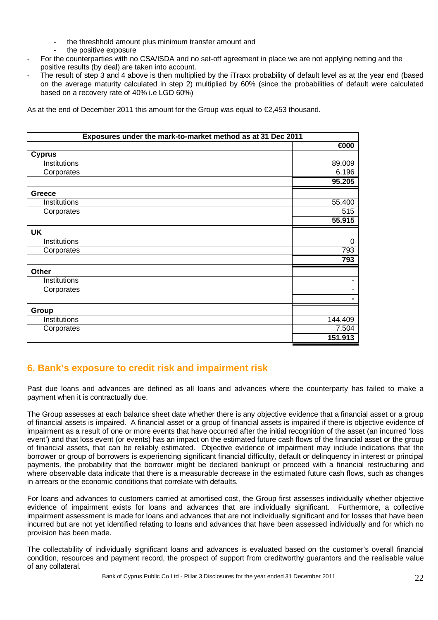- the threshhold amount plus minimum transfer amount and
	- the positive exposure
- For the counterparties with no CSA/ISDA and no set-off agreement in place we are not applying netting and the positive results (by deal) are taken into account.
- The result of step 3 and 4 above is then multiplied by the iTraxx probability of default level as at the year end (based on the average maturity calculated in step 2) multiplied by 60% (since the probabilities of default were calculated based on a recovery rate of 40% i.e LGD 60%)

As at the end of December 2011 this amount for the Group was equal to €2,453 thousand.

| Exposures under the mark-to-market method as at 31 Dec 2011 |          |  |  |  |
|-------------------------------------------------------------|----------|--|--|--|
|                                                             | €000     |  |  |  |
| <b>Cyprus</b>                                               |          |  |  |  |
| Institutions                                                | 89.009   |  |  |  |
| Corporates                                                  | 6.196    |  |  |  |
|                                                             | 95.205   |  |  |  |
| Greece                                                      |          |  |  |  |
| Institutions                                                | 55.400   |  |  |  |
| Corporates                                                  | 515      |  |  |  |
|                                                             | 55.915   |  |  |  |
| <b>UK</b>                                                   |          |  |  |  |
| Institutions                                                | $\Omega$ |  |  |  |
| Corporates                                                  | 793      |  |  |  |
|                                                             | 793      |  |  |  |
| Other                                                       |          |  |  |  |
| Institutions                                                | ۰        |  |  |  |
| Corporates                                                  | ۰        |  |  |  |
|                                                             |          |  |  |  |
| Group                                                       |          |  |  |  |
| Institutions                                                | 144.409  |  |  |  |
| Corporates                                                  | 7.504    |  |  |  |
|                                                             | 151.913  |  |  |  |

# **6. Bank's exposure to credit risk and impairment risk**

Past due loans and advances are defined as all loans and advances where the counterparty has failed to make a payment when it is contractually due.

The Group assesses at each balance sheet date whether there is any objective evidence that a financial asset or a group of financial assets is impaired. A financial asset or a group of financial assets is impaired if there is objective evidence of impairment as a result of one or more events that have occurred after the initial recognition of the asset (an incurred 'loss event') and that loss event (or events) has an impact on the estimated future cash flows of the financial asset or the group of financial assets, that can be reliably estimated. Objective evidence of impairment may include indications that the borrower or group of borrowers is experiencing significant financial difficulty, default or delinquency in interest or principal payments, the probability that the borrower might be declared bankrupt or proceed with a financial restructuring and where observable data indicate that there is a measurable decrease in the estimated future cash flows, such as changes in arrears or the economic conditions that correlate with defaults.

For loans and advances to customers carried at amortised cost, the Group first assesses individually whether objective evidence of impairment exists for loans and advances that are individually significant. Furthermore, a collective impairment assessment is made for loans and advances that are not individually significant and for losses that have been incurred but are not yet identified relating to loans and advances that have been assessed individually and for which no provision has been made.

The collectability of individually significant loans and advances is evaluated based on the customer's overall financial condition, resources and payment record, the prospect of support from creditworthy guarantors and the realisable value of any collateral.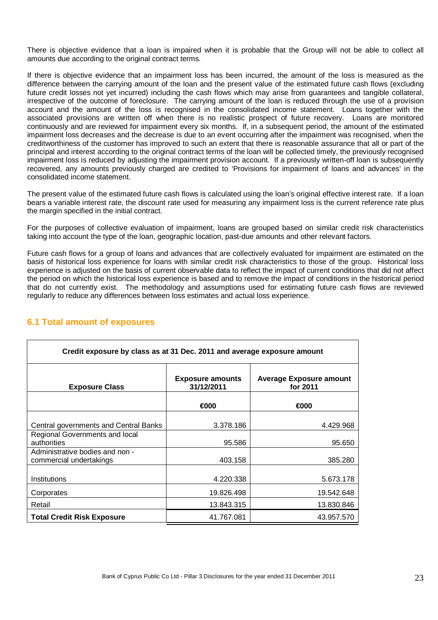There is objective evidence that a loan is impaired when it is probable that the Group will not be able to collect all amounts due according to the original contract terms.

If there is objective evidence that an impairment loss has been incurred, the amount of the loss is measured as the difference between the carrying amount of the loan and the present value of the estimated future cash flows (excluding future credit losses not yet incurred) including the cash flows which may arise from guarantees and tangible collateral, irrespective of the outcome of foreclosure. The carrying amount of the loan is reduced through the use of a provision account and the amount of the loss is recognised in the consolidated income statement. Loans together with the associated provisions are written off when there is no realistic prospect of future recovery. Loans are monitored continuously and are reviewed for impairment every six months. If, in a subsequent period, the amount of the estimated impairment loss decreases and the decrease is due to an event occurring after the impairment was recognised, when the creditworthiness of the customer has improved to such an extent that there is reasonable assurance that all or part of the principal and interest according to the original contract terms of the loan will be collected timely, the previously recognised impairment loss is reduced by adjusting the impairment provision account. If a previously written-off loan is subsequently recovered, any amounts previously charged are credited to 'Provisions for impairment of loans and advances' in the consolidated income statement.

The present value of the estimated future cash flows is calculated using the loan's original effective interest rate. If a loan bears a variable interest rate, the discount rate used for measuring any impairment loss is the current reference rate plus the margin specified in the initial contract.

For the purposes of collective evaluation of impairment, loans are grouped based on similar credit risk characteristics taking into account the type of the loan, geographic location, past-due amounts and other relevant factors.

Future cash flows for a group of loans and advances that are collectively evaluated for impairment are estimated on the basis of historical loss experience for loans with similar credit risk characteristics to those of the group. Historical loss experience is adjusted on the basis of current observable data to reflect the impact of current conditions that did not affect the period on which the historical loss experience is based and to remove the impact of conditions in the historical period that do not currently exist. The methodology and assumptions used for estimating future cash flows are reviewed regularly to reduce any differences between loss estimates and actual loss experience.

| Credit exposure by class as at 31 Dec. 2011 and average exposure amount |                                       |                                            |  |  |  |  |
|-------------------------------------------------------------------------|---------------------------------------|--------------------------------------------|--|--|--|--|
| <b>Exposure Class</b>                                                   | <b>Exposure amounts</b><br>31/12/2011 | <b>Average Exposure amount</b><br>for 2011 |  |  |  |  |
|                                                                         | €000                                  | €000                                       |  |  |  |  |
| Central governments and Central Banks                                   | 3.378.186                             | 4.429.968                                  |  |  |  |  |
| Regional Governments and local<br>authorities                           | 95.586                                | 95.650                                     |  |  |  |  |
| Administrative bodies and non -<br>commercial undertakings              | 403.158                               | 385.280                                    |  |  |  |  |
| Institutions                                                            | 4.220.338                             | 5.673.178                                  |  |  |  |  |
| Corporates                                                              | 19.826.498                            | 19.542.648                                 |  |  |  |  |
| Retail                                                                  | 13.843.315                            | 13.830.846                                 |  |  |  |  |
| <b>Total Credit Risk Exposure</b>                                       | 41.767.081                            | 43.957.570                                 |  |  |  |  |

## **6.1 Total amount of exposures**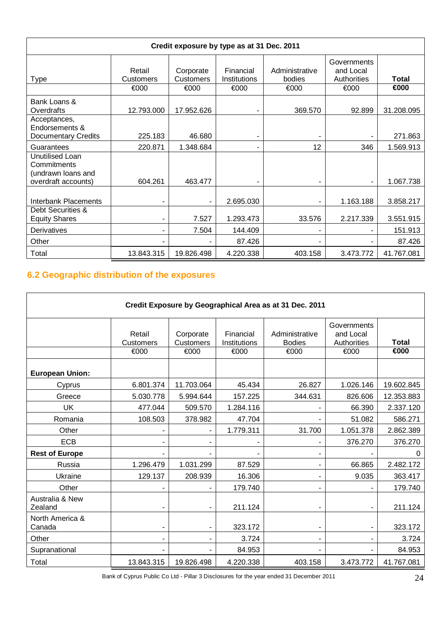| Credit exposure by type as at 31 Dec. 2011                                  |                             |                                       |                                   |                                  |                                                 |                      |  |  |
|-----------------------------------------------------------------------------|-----------------------------|---------------------------------------|-----------------------------------|----------------------------------|-------------------------------------------------|----------------------|--|--|
| Type                                                                        | Retail<br>Customers<br>€000 | Corporate<br><b>Customers</b><br>€000 | Financial<br>Institutions<br>€000 | Administrative<br>bodies<br>€000 | Governments<br>and Local<br>Authorities<br>€000 | <b>Total</b><br>€000 |  |  |
| Bank Loans &<br>Overdrafts                                                  | 12.793.000                  | 17.952.626                            |                                   | 369.570                          | 92.899                                          | 31.208.095           |  |  |
| Acceptances,<br>Endorsements &<br><b>Documentary Credits</b>                | 225.183                     | 46.680                                | ۰                                 |                                  |                                                 | 271.863              |  |  |
| Guarantees                                                                  | 220.871                     | 1.348.684                             | -                                 | 12                               | 346                                             | 1.569.913            |  |  |
| Unutilised Loan<br>Commitments<br>(undrawn loans and<br>overdraft accounts) | 604.261                     | 463.477                               |                                   |                                  |                                                 | 1.067.738            |  |  |
| Interbank Placements<br>Debt Securities &                                   |                             |                                       | 2.695.030                         |                                  | 1.163.188                                       | 3.858.217            |  |  |
| <b>Equity Shares</b>                                                        |                             | 7.527                                 | 1.293.473                         | 33.576                           | 2.217.339                                       | 3.551.915            |  |  |
| Derivatives                                                                 |                             | 7.504                                 | 144.409                           |                                  |                                                 | 151.913              |  |  |
| Other                                                                       |                             |                                       | 87.426                            |                                  |                                                 | 87.426               |  |  |
| Total                                                                       | 13.843.315                  | 19.826.498                            | 4.220.338                         | 403.158                          | 3.473.772                                       | 41.767.081           |  |  |

# **6.2 Geographic distribution of the exposures**

| Credit Exposure by Geographical Area as at 31 Dec. 2011 |                            |                          |                           |                                 |                                         |              |  |
|---------------------------------------------------------|----------------------------|--------------------------|---------------------------|---------------------------------|-----------------------------------------|--------------|--|
|                                                         | Retail<br><b>Customers</b> | Corporate<br>Customers   | Financial<br>Institutions | Administrative<br><b>Bodies</b> | Governments<br>and Local<br>Authorities | <b>Total</b> |  |
|                                                         | €000                       | €000                     | €000                      | €000                            | €000                                    | €000         |  |
| <b>European Union:</b>                                  |                            |                          |                           |                                 |                                         |              |  |
| Cyprus                                                  | 6.801.374                  | 11.703.064               | 45.434                    | 26.827                          | 1.026.146                               | 19.602.845   |  |
| Greece                                                  | 5.030.778                  | 5.994.644                | 157.225                   | 344.631                         | 826.606                                 | 12.353.883   |  |
| <b>UK</b>                                               | 477.044                    | 509.570                  | 1.284.116                 |                                 | 66.390                                  | 2.337.120    |  |
| Romania                                                 | 108.503                    | 378.982                  | 47.704                    |                                 | 51.082                                  | 586.271      |  |
| Other                                                   |                            |                          | 1.779.311                 | 31.700                          | 1.051.378                               | 2.862.389    |  |
| <b>ECB</b>                                              |                            |                          |                           |                                 | 376.270                                 | 376.270      |  |
| <b>Rest of Europe</b>                                   |                            |                          |                           |                                 |                                         | 0            |  |
| Russia                                                  | 1.296.479                  | 1.031.299                | 87.529                    |                                 | 66.865                                  | 2.482.172    |  |
| Ukraine                                                 | 129.137                    | 208.939                  | 16.306                    |                                 | 9.035                                   | 363.417      |  |
| Other                                                   |                            |                          | 179.740                   |                                 |                                         | 179.740      |  |
| Australia & New<br>Zealand                              |                            |                          | 211.124                   |                                 |                                         | 211.124      |  |
| North America &<br>Canada                               | ٠                          | $\overline{\phantom{a}}$ | 323.172                   |                                 |                                         | 323.172      |  |
| Other                                                   | ٠                          | -                        | 3.724                     | ۰                               |                                         | 3.724        |  |
| Supranational                                           |                            |                          | 84.953                    |                                 |                                         | 84.953       |  |
| Total                                                   | 13.843.315                 | 19.826.498               | 4.220.338                 | 403.158                         | 3.473.772                               | 41.767.081   |  |

Bank of Cyprus Public Co Ltd - Pillar 3 Disclosures for the year ended 31 December 2011 24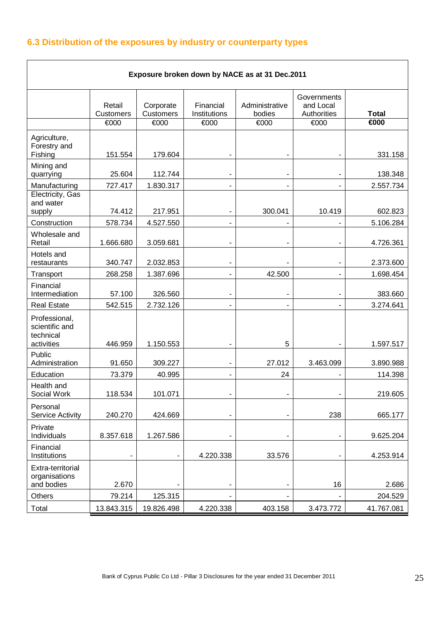# **6.3 Distribution of the exposures by industry or counterparty types**

| Exposure broken down by NACE as at 31 Dec.2011             |                            |                        |                           |                          |                                         |                           |  |
|------------------------------------------------------------|----------------------------|------------------------|---------------------------|--------------------------|-----------------------------------------|---------------------------|--|
|                                                            | Retail<br><b>Customers</b> | Corporate<br>Customers | Financial<br>Institutions | Administrative<br>bodies | Governments<br>and Local<br>Authorities | <b>Total</b>              |  |
|                                                            | €000                       | €000                   | €000                      | €000                     | €000                                    | $\overline{\epsilon}$ 000 |  |
| Agriculture,<br>Forestry and<br>Fishing                    | 151.554                    | 179.604                |                           |                          |                                         | 331.158                   |  |
| Mining and<br>quarrying                                    | 25.604                     | 112.744                | ۰                         | ۰                        | ۰                                       | 138.348                   |  |
| Manufacturing                                              | 727.417                    | 1.830.317              | -                         |                          |                                         | 2.557.734                 |  |
| Electricity, Gas<br>and water<br>supply                    | 74.412                     | 217.951                |                           | 300.041                  | 10.419                                  | 602.823                   |  |
| Construction                                               | 578.734                    | 4.527.550              |                           |                          |                                         | 5.106.284                 |  |
| Wholesale and<br>Retail                                    | 1.666.680                  | 3.059.681              | ۰                         |                          |                                         | 4.726.361                 |  |
| Hotels and<br>restaurants                                  | 340.747                    | 2.032.853              | $\blacksquare$            |                          | -                                       | 2.373.600                 |  |
| Transport                                                  | 268.258                    | 1.387.696              | Ξ.                        | 42.500                   |                                         | 1.698.454                 |  |
| Financial<br>Intermediation                                | 57.100                     | 326.560                |                           |                          |                                         | 383.660                   |  |
| <b>Real Estate</b>                                         | 542.515                    | 2.732.126              |                           |                          |                                         | 3.274.641                 |  |
| Professional,<br>scientific and<br>technical<br>activities | 446.959                    | 1.150.553              |                           | 5                        |                                         | 1.597.517                 |  |
| Public<br>Administration                                   | 91.650                     | 309.227                | -                         | 27.012                   | 3.463.099                               | 3.890.988                 |  |
| Education                                                  | 73.379                     | 40.995                 |                           | 24                       |                                         | 114.398                   |  |
| Health and<br>Social Work                                  | 118.534                    | 101.071                |                           |                          |                                         | 219.605                   |  |
| Personal<br><b>Service Activity</b>                        | 240.270                    | 424.669                |                           |                          | 238                                     | 665.177                   |  |
| Private<br>Individuals                                     | 8.357.618                  | 1.267.586              |                           |                          |                                         | 9.625.204                 |  |
| Financial<br>Institutions                                  |                            |                        | 4.220.338                 | 33.576                   |                                         | 4.253.914                 |  |
| Extra-territorial<br>organisations<br>and bodies           | 2.670                      |                        |                           |                          | 16                                      | 2.686                     |  |
| Others                                                     | 79.214                     | 125.315                |                           |                          |                                         | 204.529                   |  |
| Total                                                      | 13.843.315                 | 19.826.498             | 4.220.338                 | 403.158                  | 3.473.772                               | 41.767.081                |  |

 $\overline{\phantom{0}}$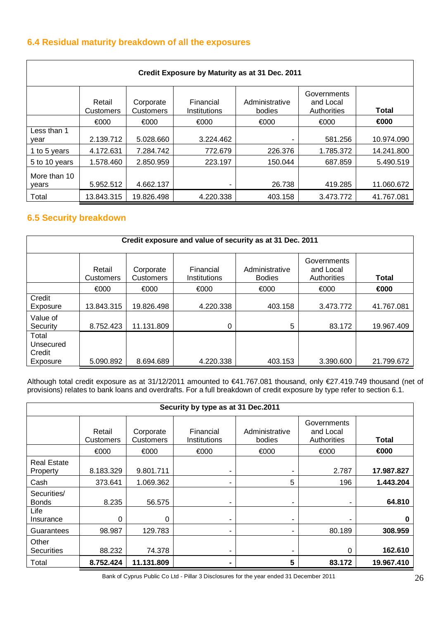# **6.4 Residual maturity breakdown of all the exposures**

| Credit Exposure by Maturity as at 31 Dec. 2011 |                            |                        |                           |                          |                                         |              |  |
|------------------------------------------------|----------------------------|------------------------|---------------------------|--------------------------|-----------------------------------------|--------------|--|
|                                                | Retail<br><b>Customers</b> | Corporate<br>Customers | Financial<br>Institutions | Administrative<br>bodies | Governments<br>and Local<br>Authorities | <b>Total</b> |  |
|                                                | €000                       | €000                   | €000                      | €000                     | €000                                    | €000         |  |
| Less than 1<br>vear                            | 2.139.712                  | 5.028.660              | 3.224.462                 |                          | 581.256                                 | 10.974.090   |  |
| 1 to 5 years                                   | 4.172.631                  | 7.284.742              | 772.679                   | 226,376                  | 1.785.372                               | 14.241.800   |  |
| 5 to 10 years                                  | 1.578.460                  | 2.850.959              | 223.197                   | 150.044                  | 687.859                                 | 5.490.519    |  |
| More than 10<br>vears                          | 5.952.512                  | 4.662.137              |                           | 26.738                   | 419.285                                 | 11.060.672   |  |
| Total                                          | 13.843.315                 | 19.826.498             | 4.220.338                 | 403.158                  | 3.473.772                               | 41.767.081   |  |

# **6.5 Security breakdown**

r

| Credit exposure and value of security as at 31 Dec. 2011 |                            |                               |                           |                                 |                                         |              |  |
|----------------------------------------------------------|----------------------------|-------------------------------|---------------------------|---------------------------------|-----------------------------------------|--------------|--|
|                                                          | Retail<br><b>Customers</b> | Corporate<br><b>Customers</b> | Financial<br>Institutions | Administrative<br><b>Bodies</b> | Governments<br>and Local<br>Authorities | <b>Total</b> |  |
|                                                          | €000                       | €000                          | €000                      | €000                            | €000                                    | €000         |  |
| Credit<br>Exposure                                       | 13.843.315                 | 19.826.498                    | 4.220.338                 | 403.158                         | 3.473.772                               | 41.767.081   |  |
| Value of<br>Security                                     | 8.752.423                  | 11.131.809                    | 0                         | 5                               | 83.172                                  | 19.967.409   |  |
| Total<br>Unsecured<br>Credit                             |                            |                               |                           |                                 |                                         |              |  |
| Exposure                                                 | 5.090.892                  | 8.694.689                     | 4.220.338                 | 403.153                         | 3.390.600                               | 21.799.672   |  |

Although total credit exposure as at 31/12/2011 amounted to €41.767.081 thousand, only €27.419.749 thousand (net of provisions) relates to bank loans and overdrafts. For a full breakdown of credit exposure by type refer to section 6.1.

| Security by type as at 31 Dec.2011 |                     |                        |                           |                          |                                         |            |  |
|------------------------------------|---------------------|------------------------|---------------------------|--------------------------|-----------------------------------------|------------|--|
|                                    | Retail<br>Customers | Corporate<br>Customers | Financial<br>Institutions | Administrative<br>bodies | Governments<br>and Local<br>Authorities | Total      |  |
|                                    | €000                | €000                   | €000                      | €000                     | €000                                    | €000       |  |
| <b>Real Estate</b><br>Property     | 8.183.329           | 9.801.711              |                           | ۰                        | 2.787                                   | 17.987.827 |  |
| Cash                               | 373.641             | 1.069.362              | $\blacksquare$            | 5                        | 196                                     | 1.443.204  |  |
| Securities/<br><b>Bonds</b>        | 8.235               | 56.575                 | -                         | ۰                        | ۰                                       | 64.810     |  |
| Life<br>Insurance                  | 0                   | 0                      | ۰                         | ٠                        | ۰                                       | 0          |  |
| Guarantees                         | 98.987              | 129.783                | ۰                         | ۰                        | 80.189                                  | 308.959    |  |
| Other<br>Securities                | 88.232              | 74.378                 | ۰                         | ۰                        | 0                                       | 162.610    |  |
| Total                              | 8.752.424           | 11.131.809             |                           | 5                        | 83.172                                  | 19.967.410 |  |

Bank of Cyprus Public Co Ltd - Pillar 3 Disclosures for the year ended 31 December 2011 26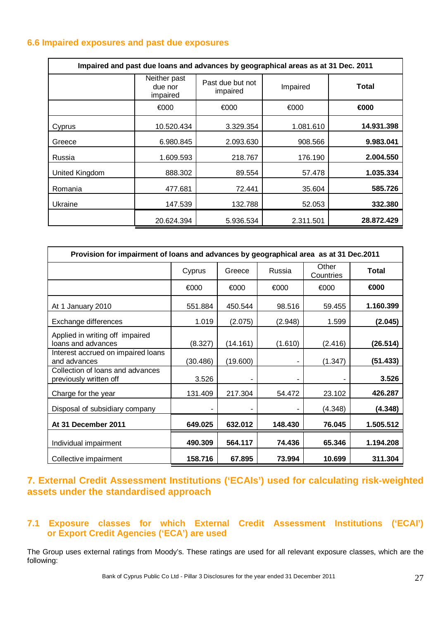## **6.6 Impaired exposures and past due exposures**

| Impaired and past due loans and advances by geographical areas as at 31 Dec. 2011 |                                     |                              |           |              |  |  |
|-----------------------------------------------------------------------------------|-------------------------------------|------------------------------|-----------|--------------|--|--|
|                                                                                   | Neither past<br>due nor<br>impaired | Past due but not<br>impaired | Impaired  | <b>Total</b> |  |  |
|                                                                                   | €000                                | €000                         | €000      | €000         |  |  |
| Cyprus                                                                            | 10.520.434                          | 3.329.354                    | 1.081.610 | 14.931.398   |  |  |
| Greece                                                                            | 6.980.845                           | 2.093.630                    | 908.566   | 9.983.041    |  |  |
| Russia                                                                            | 1.609.593                           | 218.767                      | 176.190   | 2.004.550    |  |  |
| <b>United Kingdom</b>                                                             | 888.302                             | 89.554                       | 57.478    | 1.035.334    |  |  |
| Romania                                                                           | 477.681                             | 72.441                       | 35.604    | 585.726      |  |  |
| Ukraine                                                                           | 147.539                             | 132.788                      | 52.053    | 332.380      |  |  |
|                                                                                   | 20.624.394                          | 5.936.534                    | 2.311.501 | 28.872.429   |  |  |

| Provision for impairment of loans and advances by geographical area as at 31 Dec.2011 |          |          |         |                    |              |
|---------------------------------------------------------------------------------------|----------|----------|---------|--------------------|--------------|
|                                                                                       | Cyprus   | Greece   | Russia  | Other<br>Countries | <b>Total</b> |
|                                                                                       | €000     | €000     | €000    | €000               | €000         |
| At 1 January 2010                                                                     | 551.884  | 450.544  | 98.516  | 59.455             | 1.160.399    |
| Exchange differences                                                                  | 1.019    | (2.075)  | (2.948) | 1.599              | (2.045)      |
| Applied in writing off impaired<br>loans and advances                                 | (8.327)  | (14.161) | (1.610) | (2.416)            | (26.514)     |
| Interest accrued on impaired loans<br>and advances                                    | (30.486) | (19.600) | ۰       | (1.347)            | (51.433)     |
| Collection of loans and advances<br>previously written off                            | 3.526    |          | ٠       | ٠                  | 3.526        |
| Charge for the year                                                                   | 131.409  | 217.304  | 54.472  | 23.102             | 426.287      |
| Disposal of subsidiary company                                                        |          |          |         | (4.348)            | (4.348)      |
| At 31 December 2011                                                                   | 649.025  | 632.012  | 148.430 | 76.045             | 1.505.512    |
| Individual impairment                                                                 | 490.309  | 564.117  | 74.436  | 65.346             | 1.194.208    |
| Collective impairment                                                                 | 158.716  | 67.895   | 73.994  | 10.699             | 311.304      |

# **7. External Credit Assessment Institutions ('ECAIs') used for calculating risk-weighted assets under the standardised approach**

## **7.1 Exposure classes for which External Credit Assessment Institutions ('ECAI') or Export Credit Agencies ('ECA') are used**

The Group uses external ratings from Moody's. These ratings are used for all relevant exposure classes, which are the following: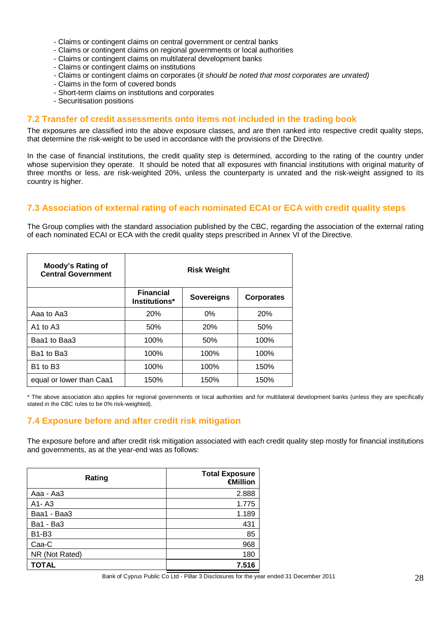- Claims or contingent claims on central government or central banks
- Claims or contingent claims on regional governments or local authorities
- Claims or contingent claims on multilateral development banks
- Claims or contingent claims on institutions
- Claims or contingent claims on corporates (it should be noted that most corporates are unrated)
- Claims in the form of covered bonds
- Short-term claims on institutions and corporates
- Securitisation positions

#### **7.2 Transfer of credit assessments onto items not included in the trading book**

The exposures are classified into the above exposure classes, and are then ranked into respective credit quality steps, that determine the risk-weight to be used in accordance with the provisions of the Directive.

In the case of financial institutions, the credit quality step is determined, according to the rating of the country under whose supervision they operate. It should be noted that all exposures with financial institutions with original maturity of three months or less, are risk-weighted 20%, unless the counterparty is unrated and the risk-weight assigned to its country is higher.

## **7.3 Association of external rating of each nominated ECAI or ECA with credit quality steps**

The Group complies with the standard association published by the CBC, regarding the association of the external rating of each nominated ECAI or ECA with the credit quality steps prescribed in Annex VI of the Directive.

| Moody's Rating of<br><b>Central Government</b> | <b>Risk Weight</b>                |                   |                   |  |
|------------------------------------------------|-----------------------------------|-------------------|-------------------|--|
|                                                | <b>Financial</b><br>Institutions* | <b>Sovereigns</b> | <b>Corporates</b> |  |
| Aaa to Aa3                                     | 20%                               | $0\%$             | 20%               |  |
| $A1$ to $A3$                                   | 50%                               | <b>20%</b>        | 50%               |  |
| Baa1 to Baa3                                   | 100%                              | 50%               | 100%              |  |
| Ba1 to Ba3                                     | 100%                              | 100%              | 100%              |  |
| B <sub>1</sub> to B <sub>3</sub>               | 100%                              | 100%              | 150%              |  |
| equal or lower than Caa1                       | 150%                              | 150%              | 150%              |  |

\* The above association also applies for regional governments or local authorities and for multilateral development banks (unless they are specifically stated in the CBC rules to be 0% risk-weighted).

## **7.4 Exposure before and after credit risk mitigation**

The exposure before and after credit risk mitigation associated with each credit quality step mostly for financial institutions and governments, as at the year-end was as follows:

| Rating         | <b>Total Exposure</b><br>€Million |
|----------------|-----------------------------------|
| Aaa - Aa3      | 2.888                             |
| $A1 - A3$      | 1.775                             |
| Baa1 - Baa3    | 1.189                             |
| Ba1 - Ba3      | 431                               |
| <b>B1-B3</b>   | 85                                |
| Caa-C          | 968                               |
| NR (Not Rated) | 180                               |
| <b>TOTAL</b>   | 7.516                             |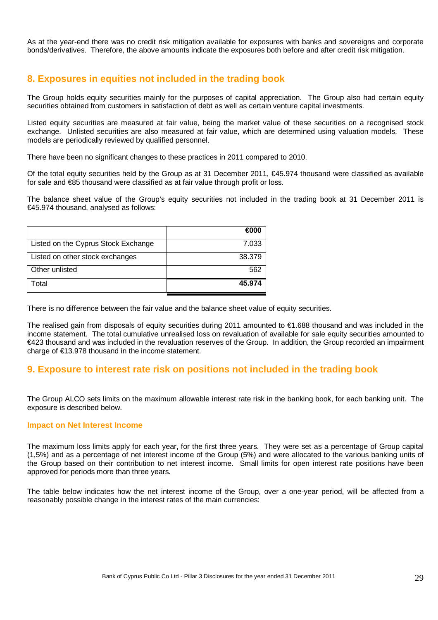As at the year-end there was no credit risk mitigation available for exposures with banks and sovereigns and corporate bonds/derivatives. Therefore, the above amounts indicate the exposures both before and after credit risk mitigation.

# **8. Exposures in equities not included in the trading book**

The Group holds equity securities mainly for the purposes of capital appreciation. The Group also had certain equity securities obtained from customers in satisfaction of debt as well as certain venture capital investments.

Listed equity securities are measured at fair value, being the market value of these securities on a recognised stock exchange. Unlisted securities are also measured at fair value, which are determined using valuation models. These models are periodically reviewed by qualified personnel.

There have been no significant changes to these practices in 2011 compared to 2010.

Of the total equity securities held by the Group as at 31 December 2011,  $€45.974$  thousand were classified as available for sale and €85 thousand were classified as at fair value through profit or loss.

The balance sheet value of the Group's equity securities not included in the trading book at 31 December 2011 is €45.974 thousand, analysed as follows:

|                                     | $\epsilon$ 000 |
|-------------------------------------|----------------|
| Listed on the Cyprus Stock Exchange | 7.033          |
| Listed on other stock exchanges     | 38,379         |
| Other unlisted                      | 562            |
| Total                               | 45.974         |

There is no difference between the fair value and the balance sheet value of equity securities.

The realised gain from disposals of equity securities during 2011 amounted to €1.688 thousand and was included in the income statement. The total cumulative unrealised loss on revaluation of available for sale equity securities amounted to €423 thousand and was included in the revaluation reserves of the Group. In addition, the Group recorded an impairment charge of €13.978 thousand in the income statement.

# **9. Exposure to interest rate risk on positions not included in the trading book**

The Group ALCO sets limits on the maximum allowable interest rate risk in the banking book, for each banking unit. The exposure is described below.

#### **Impact on Net Interest Income**

The maximum loss limits apply for each year, for the first three years. They were set as a percentage of Group capital (1,5%) and as a percentage of net interest income of the Group (5%) and were allocated to the various banking units of the Group based on their contribution to net interest income. Small limits for open interest rate positions have been approved for periods more than three years.

The table below indicates how the net interest income of the Group, over a one-year period, will be affected from a reasonably possible change in the interest rates of the main currencies: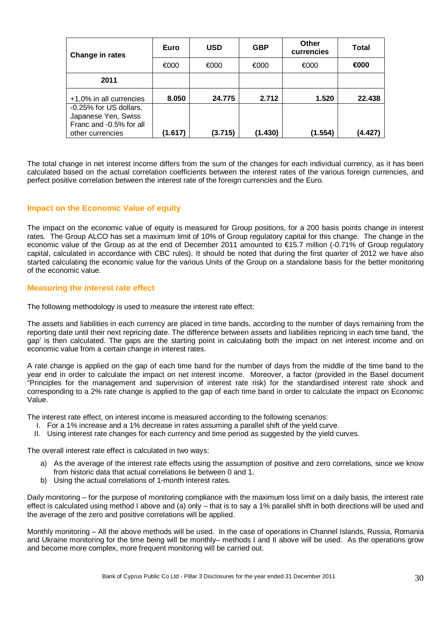| Change in rates                                | Euro    | <b>USD</b> | <b>GBP</b> | Other<br>currencies | <b>Total</b> |
|------------------------------------------------|---------|------------|------------|---------------------|--------------|
|                                                | €000    | €000       | €000       | €000                | €000         |
| 2011                                           |         |            |            |                     |              |
| +1,0% in all currencies                        | 8.050   | 24.775     | 2.712      | 1.520               | 22.438       |
| -0.25% for US dollars,                         |         |            |            |                     |              |
| Japanese Yen, Swiss<br>Franc and -0.5% for all |         |            |            |                     |              |
| other currencies                               | (1.617) | (3.715)    | (1.430)    | (1.554)             | (4.427       |

The total change in net interest income differs from the sum of the changes for each individual currency, as it has been calculated based on the actual correlation coefficients between the interest rates of the various foreign currencies, and perfect positive correlation between the interest rate of the foreign currencies and the Euro.

## **Impact on the Economic Value of equity**

The impact on the economic value of equity is measured for Group positions, for a 200 basis points change in interest rates. The Group ALCO has set a maximum limit of 10% of Group regulatory capital for this change. The change in the economic value of the Group as at the end of December 2011 amounted to €15.7 million (-0.71% of Group regulatory capital, calculated in accordance with CBC rules). It should be noted that during the first quarter of 2012 we have also started calculating the economic value for the various Units of the Group on a standalone basis for the better monitoring of the economic value.

#### **Measuring the interest rate effect**

The following methodology is used to measure the interest rate effect:

The assets and liabilities in each currency are placed in time bands, according to the number of days remaining from the reporting date until their next repricing date. The difference between assets and liabilities repricing in each time band, 'the gap' is then calculated. The gaps are the starting point in calculating both the impact on net interest income and on economic value from a certain change in interest rates.

A rate change is applied on the gap of each time band for the number of days from the middle of the time band to the year end in order to calculate the impact on net interest income. Moreover, a factor (provided in the Basel document "Principles for the management and supervision of interest rate risk) for the standardised interest rate shock and corresponding to a 2% rate change is applied to the gap of each time band in order to calculate the impact on Economic Value.

The interest rate effect, on interest income is measured according to the following scenarios:

- I. For a 1% increase and a 1% decrease in rates assuming a parallel shift of the yield curve.
- II. Using interest rate changes for each currency and time period as suggested by the yield curves.

The overall interest rate effect is calculated in two ways:

- a) As the average of the interest rate effects using the assumption of positive and zero correlations, since we know from historic data that actual correlations lie between 0 and 1.
- b) Using the actual correlations of 1-month interest rates.

Daily monitoring – for the purpose of monitoring compliance with the maximum loss limit on a daily basis, the interest rate effect is calculated using method I above and (a) only – that is to say a 1% parallel shift in both directions will be used and the average of the zero and positive correlations will be applied.

Monthly monitoring – All the above methods will be used. In the case of operations in Channel Islands, Russia, Romania and Ukraine monitoring for the time being will be monthly– methods I and II above will be used. As the operations grow and become more complex, more frequent monitoring will be carried out.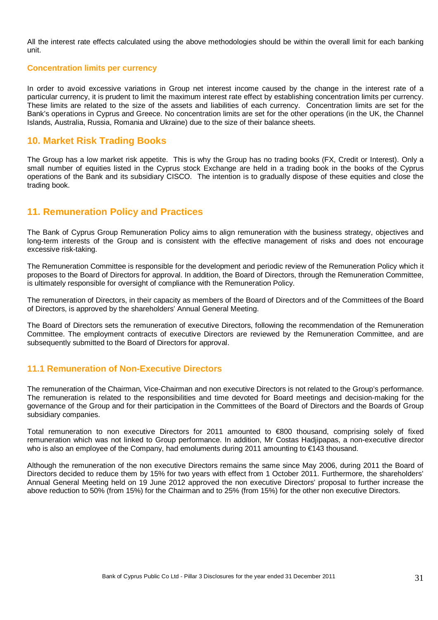All the interest rate effects calculated using the above methodologies should be within the overall limit for each banking unit.

#### **Concentration limits per currency**

In order to avoid excessive variations in Group net interest income caused by the change in the interest rate of a particular currency, it is prudent to limit the maximum interest rate effect by establishing concentration limits per currency. These limits are related to the size of the assets and liabilities of each currency. Concentration limits are set for the Bank's operations in Cyprus and Greece. No concentration limits are set for the other operations (in the UK, the Channel Islands, Australia, Russia, Romania and Ukraine) due to the size of their balance sheets.

## **10. Market Risk Trading Books**

The Group has a low market risk appetite. This is why the Group has no trading books (FX, Credit or Interest). Only a small number of equities listed in the Cyprus stock Exchange are held in a trading book in the books of the Cyprus operations of the Bank and its subsidiary CISCO. The intention is to gradually dispose of these equities and close the trading book.

## **11. Remuneration Policy and Practices**

The Bank of Cyprus Group Remuneration Policy aims to align remuneration with the business strategy, objectives and long-term interests of the Group and is consistent with the effective management of risks and does not encourage excessive risk-taking.

The Remuneration Committee is responsible for the development and periodic review of the Remuneration Policy which it proposes to the Board of Directors for approval. In addition, the Board of Directors, through the Remuneration Committee, is ultimately responsible for oversight of compliance with the Remuneration Policy.

The remuneration of Directors, in their capacity as members of the Board of Directors and of the Committees of the Board of Directors, is approved by the shareholders' Annual General Meeting.

The Board of Directors sets the remuneration of executive Directors, following the recommendation of the Remuneration Committee. The employment contracts of executive Directors are reviewed by the Remuneration Committee, and are subsequently submitted to the Board of Directors for approval.

## **11.1 Remuneration of Non-Executive Directors**

The remuneration of the Chairman, Vice-Chairman and non executive Directors is not related to the Group's performance. The remuneration is related to the responsibilities and time devoted for Board meetings and decision-making for the governance of the Group and for their participation in the Committees of the Board of Directors and the Boards of Group subsidiary companies.

Total remuneration to non executive Directors for 2011 amounted to €800 thousand, comprising solely of fixed remuneration which was not linked to Group performance. In addition, Mr Costas Hadjipapas, a non-executive director who is also an employee of the Company, had emoluments during 2011 amounting to €143 thousand.

Although the remuneration of the non executive Directors remains the same since May 2006, during 2011 the Board of Directors decided to reduce them by 15% for two years with effect from 1 October 2011. Furthermore, the shareholders' Annual General Meeting held on 19 June 2012 approved the non executive Directors' proposal to further increase the above reduction to 50% (from 15%) for the Chairman and to 25% (from 15%) for the other non executive Directors.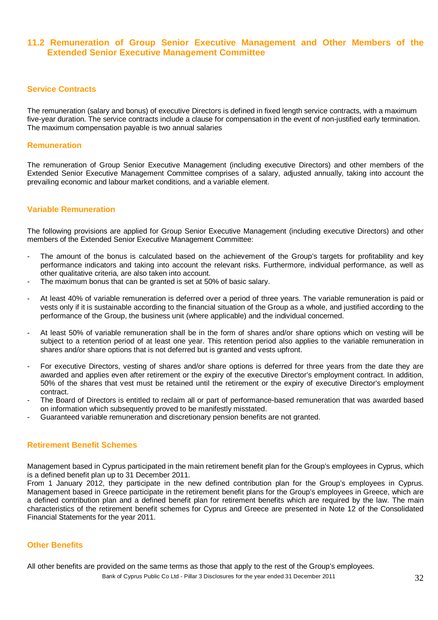## **11.2 Remuneration of Group Senior Executive Management and Other Members of the Extended Senior Executive Management Committee**

#### **Service Contracts**

The remuneration (salary and bonus) of executive Directors is defined in fixed length service contracts, with a maximum five-year duration. The service contracts include a clause for compensation in the event of non-justified early termination. The maximum compensation payable is two annual salaries

#### **Remuneration**

The remuneration of Group Senior Executive Management (including executive Directors) and other members of the Extended Senior Executive Management Committee comprises of a salary, adjusted annually, taking into account the prevailing economic and labour market conditions, and a variable element.

#### **Variable Remuneration**

The following provisions are applied for Group Senior Executive Management (including executive Directors) and other members of the Extended Senior Executive Management Committee:

- The amount of the bonus is calculated based on the achievement of the Group's targets for profitability and key performance indicators and taking into account the relevant risks. Furthermore, individual performance, as well as other qualitative criteria, are also taken into account.
- The maximum bonus that can be granted is set at 50% of basic salary.
- At least 40% of variable remuneration is deferred over a period of three years. The variable remuneration is paid or vests only if it is sustainable according to the financial situation of the Group as a whole, and justified according to the performance of the Group, the business unit (where applicable) and the individual concerned.
- At least 50% of variable remuneration shall be in the form of shares and/or share options which on vesting will be subject to a retention period of at least one year. This retention period also applies to the variable remuneration in shares and/or share options that is not deferred but is granted and vests upfront.
- For executive Directors, vesting of shares and/or share options is deferred for three years from the date they are awarded and applies even after retirement or the expiry of the executive Director's employment contract. In addition, 50% of the shares that vest must be retained until the retirement or the expiry of executive Director's employment contract.
- The Board of Directors is entitled to reclaim all or part of performance-based remuneration that was awarded based on information which subsequently proved to be manifestly misstated.
- Guaranteed variable remuneration and discretionary pension benefits are not granted.

#### **Retirement Benefit Schemes**

Management based in Cyprus participated in the main retirement benefit plan for the Group's employees in Cyprus, which is a defined benefit plan up to 31 December 2011.

From 1 January 2012, they participate in the new defined contribution plan for the Group's employees in Cyprus. Management based in Greece participate in the retirement benefit plans for the Group's employees in Greece, which are a defined contribution plan and a defined benefit plan for retirement benefits which are required by the law. The main characteristics of the retirement benefit schemes for Cyprus and Greece are presented in Note 12 of the Consolidated Financial Statements for the year 2011.

#### **Other Benefits**

All other benefits are provided on the same terms as those that apply to the rest of the Group's employees.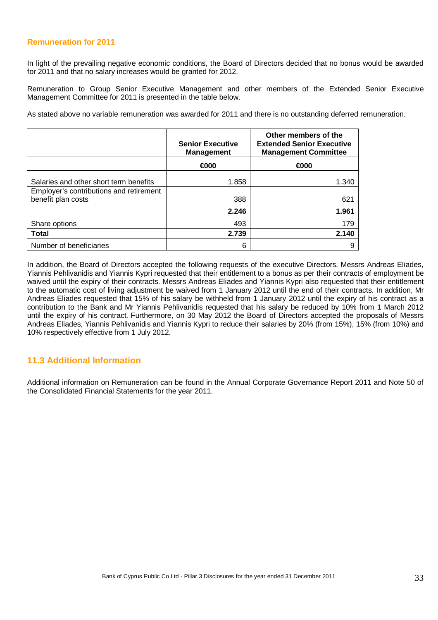#### **Remuneration for 2011**

In light of the prevailing negative economic conditions, the Board of Directors decided that no bonus would be awarded for 2011 and that no salary increases would be granted for 2012.

Remuneration to Group Senior Executive Management and other members of the Extended Senior Executive Management Committee for 2011 is presented in the table below.

As stated above no variable remuneration was awarded for 2011 and there is no outstanding deferred remuneration.

|                                                               | <b>Senior Executive</b><br><b>Management</b> | Other members of the<br><b>Extended Senior Executive</b><br><b>Management Committee</b> |  |
|---------------------------------------------------------------|----------------------------------------------|-----------------------------------------------------------------------------------------|--|
|                                                               | €000                                         | €000                                                                                    |  |
| Salaries and other short term benefits                        | 1.858                                        | 1.340                                                                                   |  |
| Employer's contributions and retirement<br>benefit plan costs | 388                                          | 621                                                                                     |  |
|                                                               | 2.246                                        | 1.961                                                                                   |  |
| Share options                                                 | 493                                          | 179                                                                                     |  |
| <b>Total</b>                                                  | 2.739                                        | 2.140                                                                                   |  |
| Number of beneficiaries                                       | 6                                            |                                                                                         |  |

In addition, the Board of Directors accepted the following requests of the executive Directors. Messrs Andreas Eliades, Yiannis Pehlivanidis and Yiannis Kypri requested that their entitlement to a bonus as per their contracts of employment be waived until the expiry of their contracts. Messrs Andreas Eliades and Yiannis Kypri also requested that their entitlement to the automatic cost of living adjustment be waived from 1 January 2012 until the end of their contracts. In addition, Mr Andreas Eliades requested that 15% of his salary be withheld from 1 January 2012 until the expiry of his contract as a contribution to the Bank and Mr Yiannis Pehlivanidis requested that his salary be reduced by 10% from 1 March 2012 until the expiry of his contract. Furthermore, on 30 May 2012 the Board of Directors accepted the proposals of Messrs Andreas Eliades, Yiannis Pehlivanidis and Yiannis Kypri to reduce their salaries by 20% (from 15%), 15% (from 10%) and 10% respectively effective from 1 July 2012.

## **11.3 Additional Information**

Additional information on Remuneration can be found in the Annual Corporate Governance Report 2011 and Note 50 of the Consolidated Financial Statements for the year 2011.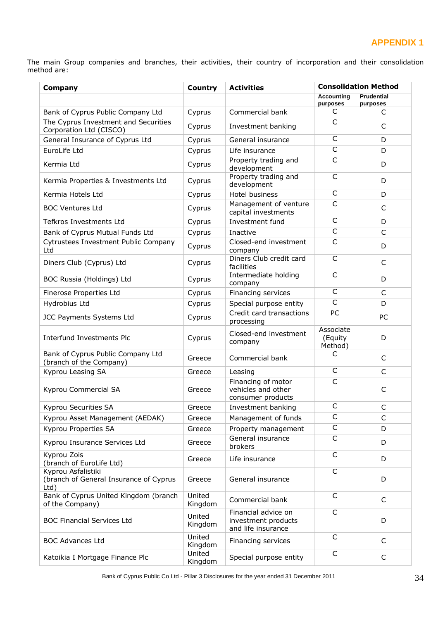# **APPENDIX 1**

The main Group companies and branches, their activities, their country of incorporation and their consolidation method are:

| Company                                                              | Country           | <b>Activities</b>                                                | <b>Consolidation Method</b>     |                               |
|----------------------------------------------------------------------|-------------------|------------------------------------------------------------------|---------------------------------|-------------------------------|
|                                                                      |                   |                                                                  | <b>Accounting</b><br>purposes   | <b>Prudential</b><br>purposes |
| Bank of Cyprus Public Company Ltd                                    | Cyprus            | Commercial bank                                                  | C                               | C                             |
| The Cyprus Investment and Securities<br>Corporation Ltd (CISCO)      | Cyprus            | Investment banking                                               | C                               | C                             |
| General Insurance of Cyprus Ltd                                      | Cyprus            | General insurance                                                | C                               | D                             |
| EuroLife Ltd                                                         | Cyprus            | Life insurance                                                   | $\overline{C}$                  | D                             |
| Kermia Ltd                                                           | Cyprus            | Property trading and<br>development                              | $\overline{C}$                  | D                             |
| Kermia Properties & Investments Ltd                                  | Cyprus            | Property trading and<br>development                              | $\mathsf{C}$                    | D                             |
| Kermia Hotels Ltd                                                    | Cyprus            | Hotel business                                                   | C                               | D                             |
| <b>BOC Ventures Ltd</b>                                              | Cyprus            | Management of venture<br>capital investments                     | C                               | C                             |
| Tefkros Investments Ltd                                              | Cyprus            | Investment fund                                                  | $\mathsf{C}$                    | D                             |
| Bank of Cyprus Mutual Funds Ltd                                      | Cyprus            | Inactive                                                         | C                               | $\mathsf{C}$                  |
| Cytrustees Investment Public Company<br>Ltd                          | Cyprus            | Closed-end investment<br>company                                 | $\overline{C}$                  | D                             |
| Diners Club (Cyprus) Ltd                                             | Cyprus            | Diners Club credit card<br>facilities                            | $\mathsf{C}$                    | $\mathsf{C}$                  |
| BOC Russia (Holdings) Ltd                                            | Cyprus            | Intermediate holding<br>company                                  | $\mathsf{C}$                    | D                             |
| Finerose Properties Ltd                                              | Cyprus            | Financing services                                               | $\mathsf{C}$                    | $\mathsf{C}$                  |
| Hydrobius Ltd                                                        | Cyprus            | Special purpose entity                                           | $\mathsf{C}$                    | D                             |
| <b>JCC Payments Systems Ltd</b>                                      | Cyprus            | Credit card transactions<br>processing                           | PC                              | PC                            |
| Interfund Investments Plc                                            | Cyprus            | Closed-end investment<br>company                                 | Associate<br>(Equity<br>Method) | D                             |
| Bank of Cyprus Public Company Ltd<br>(branch of the Company)         | Greece            | Commercial bank                                                  | C                               | $\mathsf{C}$                  |
| Kyprou Leasing SA                                                    | Greece            | Leasing                                                          | C                               | $\mathsf{C}$                  |
| Kyprou Commercial SA                                                 | Greece            | Financing of motor<br>vehicles and other<br>consumer products    | $\mathsf{C}$                    | C                             |
| Kyprou Securities SA                                                 | Greece            | Investment banking                                               | $\mathsf{C}$                    | C                             |
| Kyprou Asset Management (AEDAK)                                      | Greece            | Management of funds                                              | C                               | C                             |
| Kyprou Properties SA                                                 | Greece            | Property management                                              | C                               | D                             |
| Kyprou Insurance Services Ltd                                        | Greece            | General insurance<br>brokers                                     | $\mathsf{C}$                    | D                             |
| Kyprou Zois<br>(branch of EuroLife Ltd)                              | Greece            | Life insurance                                                   | $\mathsf{C}$                    | D                             |
| Kyprou Asfalistiki<br>(branch of General Insurance of Cyprus<br>Ltd) | Greece            | General insurance                                                | $\mathsf{C}$                    | D                             |
| Bank of Cyprus United Kingdom (branch<br>of the Company)             | United<br>Kingdom | Commercial bank                                                  | $\overline{C}$                  | $\mathsf{C}$                  |
| <b>BOC Financial Services Ltd</b>                                    | United<br>Kingdom | Financial advice on<br>investment products<br>and life insurance | $\mathsf{C}$                    | D                             |
| <b>BOC Advances Ltd</b>                                              | United<br>Kingdom | Financing services                                               | C                               | C                             |
| Katoikia I Mortgage Finance Plc                                      | United<br>Kingdom | Special purpose entity                                           | $\mathsf{C}$                    | $\mathsf{C}$                  |